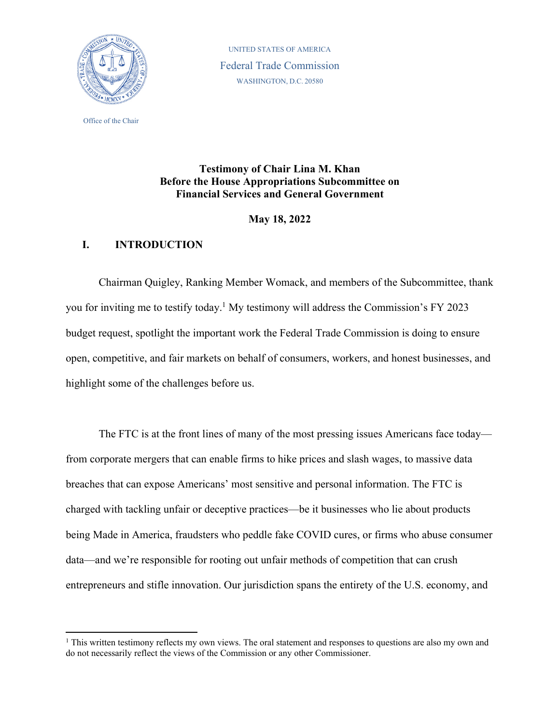

Office of the Chair

UNITED STATES OF AMERICA Federal Trade Commission WASHINGTON, D.C. 20580

# **Testimony of Chair Lina M. Khan Before the House Appropriations Subcommittee on Financial Services and General Government**

**May 18, 2022** 

# **I. INTRODUCTION**

Chairman Quigley, Ranking Member Womack, and members of the Subcommittee, thank you for inviting me to testify today.<sup>1</sup> My testimony will address the Commission's FY 2023 budget request, spotlight the important work the Federal Trade Commission is doing to ensure open, competitive, and fair markets on behalf of consumers, workers, and honest businesses, and highlight some of the challenges before us.

The FTC is at the front lines of many of the most pressing issues Americans face today from corporate mergers that can enable firms to hike prices and slash wages, to massive data breaches that can expose Americans' most sensitive and personal information. The FTC is charged with tackling unfair or deceptive practices—be it businesses who lie about products being Made in America, fraudsters who peddle fake COVID cures, or firms who abuse consumer data—and we're responsible for rooting out unfair methods of competition that can crush entrepreneurs and stifle innovation. Our jurisdiction spans the entirety of the U.S. economy, and

<sup>&</sup>lt;sup>1</sup> This written testimony reflects my own views. The oral statement and responses to questions are also my own and do not necessarily reflect the views of the Commission or any other Commissioner.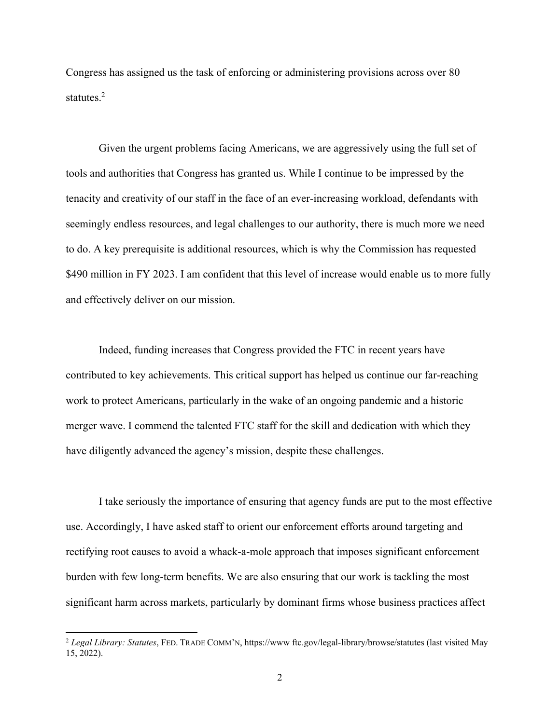Congress has assigned us the task of enforcing or administering provisions across over 80 statutes. $2$ 

Given the urgent problems facing Americans, we are aggressively using the full set of tools and authorities that Congress has granted us. While I continue to be impressed by the tenacity and creativity of our staff in the face of an ever-increasing workload, defendants with seemingly endless resources, and legal challenges to our authority, there is much more we need to do. A key prerequisite is additional resources, which is why the Commission has requested \$490 million in FY 2023. I am confident that this level of increase would enable us to more fully and effectively deliver on our mission.

Indeed, funding increases that Congress provided the FTC in recent years have contributed to key achievements. This critical support has helped us continue our far-reaching work to protect Americans, particularly in the wake of an ongoing pandemic and a historic merger wave. I commend the talented FTC staff for the skill and dedication with which they have diligently advanced the agency's mission, despite these challenges.

I take seriously the importance of ensuring that agency funds are put to the most effective use. Accordingly, I have asked staff to orient our enforcement efforts around targeting and rectifying root causes to avoid a whack-a-mole approach that imposes significant enforcement burden with few long-term benefits. We are also ensuring that our work is tackling the most significant harm across markets, particularly by dominant firms whose business practices affect

<sup>2</sup> *Legal Library: Statutes*, FED. TRADE COMM'N, https://www ftc.gov/legal-library/browse/statutes (last visited May 15, 2022).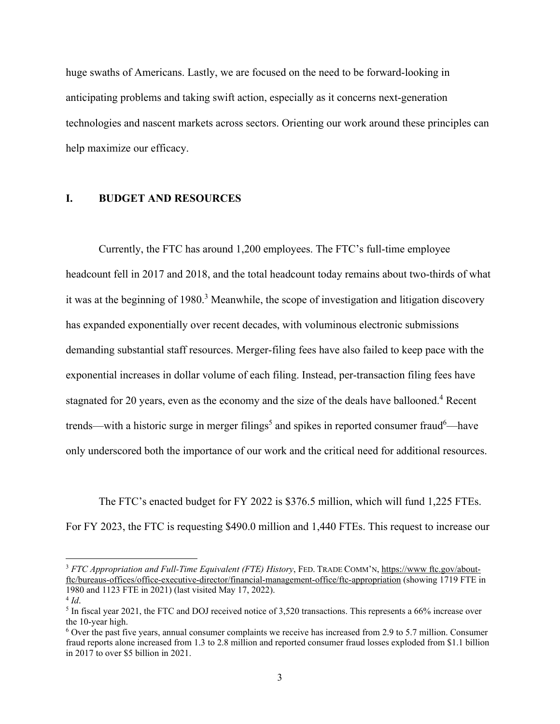huge swaths of Americans. Lastly, we are focused on the need to be forward-looking in anticipating problems and taking swift action, especially as it concerns next-generation technologies and nascent markets across sectors. Orienting our work around these principles can help maximize our efficacy.

# **I. BUDGET AND RESOURCES**

Currently, the FTC has around 1,200 employees. The FTC's full-time employee headcount fell in 2017 and 2018, and the total headcount today remains about two-thirds of what it was at the beginning of 1980.<sup>3</sup> Meanwhile, the scope of investigation and litigation discovery has expanded exponentially over recent decades, with voluminous electronic submissions demanding substantial staff resources. Merger-filing fees have also failed to keep pace with the exponential increases in dollar volume of each filing. Instead, per-transaction filing fees have stagnated for 20 years, even as the economy and the size of the deals have ballooned.<sup>4</sup> Recent trends—with a historic surge in merger filings<sup>5</sup> and spikes in reported consumer fraud<sup>6</sup>—have only underscored both the importance of our work and the critical need for additional resources.

The FTC's enacted budget for FY 2022 is \$376.5 million, which will fund 1,225 FTEs. For FY 2023, the FTC is requesting \$490.0 million and 1,440 FTEs. This request to increase our

<sup>3</sup> *FTC Appropriation and Full-Time Equivalent (FTE) History*, FED. TRADE COMM'N, https://www.ftc.gov/aboutftc/bureaus-offices/office-executive-director/financial-management-office/ftc-appropriation (showing 1719 FTE in 1980 and 1123 FTE in 2021) (last visited May 17, 2022).

 $4$  *Id*.

 $<sup>5</sup>$  In fiscal year 2021, the FTC and DOJ received notice of 3,520 transactions. This represents a 66% increase over</sup> the 10-year high.

<sup>&</sup>lt;sup>6</sup> Over the past five years, annual consumer complaints we receive has increased from 2.9 to 5.7 million. Consumer fraud reports alone increased from 1.3 to 2.8 million and reported consumer fraud losses exploded from \$1.1 billion in 2017 to over \$5 billion in 2021.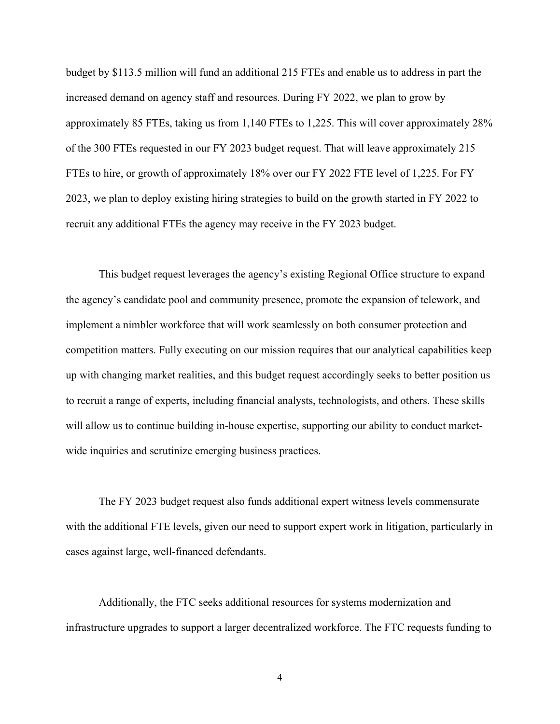budget by \$113.5 million will fund an additional 215 FTEs and enable us to address in part the increased demand on agency staff and resources. During FY 2022, we plan to grow by approximately 85 FTEs, taking us from 1,140 FTEs to 1,225. This will cover approximately 28% of the 300 FTEs requested in our FY 2023 budget request. That will leave approximately 215 FTEs to hire, or growth of approximately 18% over our FY 2022 FTE level of 1,225. For FY 2023, we plan to deploy existing hiring strategies to build on the growth started in FY 2022 to recruit any additional FTEs the agency may receive in the FY 2023 budget.

This budget request leverages the agency's existing Regional Office structure to expand the agency's candidate pool and community presence, promote the expansion of telework, and implement a nimbler workforce that will work seamlessly on both consumer protection and competition matters. Fully executing on our mission requires that our analytical capabilities keep up with changing market realities, and this budget request accordingly seeks to better position us to recruit a range of experts, including financial analysts, technologists, and others. These skills will allow us to continue building in-house expertise, supporting our ability to conduct marketwide inquiries and scrutinize emerging business practices.

The FY 2023 budget request also funds additional expert witness levels commensurate with the additional FTE levels, given our need to support expert work in litigation, particularly in cases against large, well-financed defendants.

Additionally, the FTC seeks additional resources for systems modernization and infrastructure upgrades to support a larger decentralized workforce. The FTC requests funding to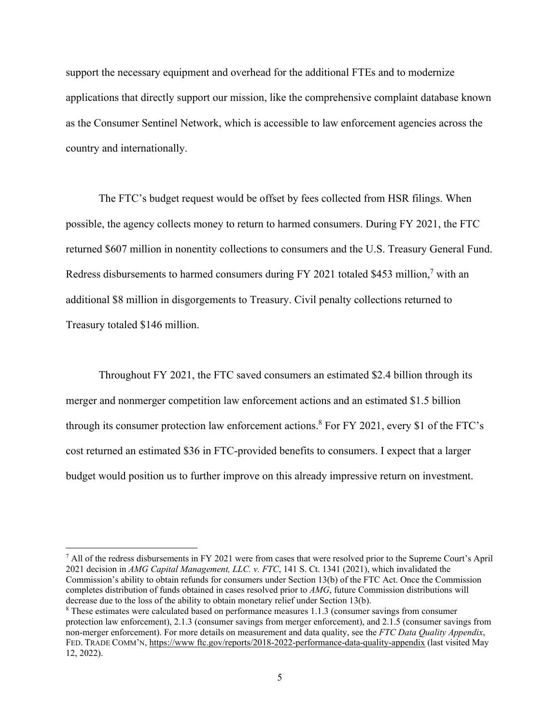support the necessary equipment and overhead for the additional FTEs and to modernize applications that directly support our mission, like the comprehensive complaint database known as the Consumer Sentinel Network, which is accessible to law enforcement agencies across the country and internationally.

The FTC's budget request would be offset by fees collected from HSR filings. When possible, the agency collects money to return to harmed consumers. During FY 2021, the FTC returned \$607 million in nonentity collections to consumers and the U.S. Treasury General Fund. Redress disbursements to harmed consumers during FY 2021 totaled \$453 million,<sup>7</sup> with an additional \$8 million in disgorgements to Treasury. Civil penalty collections returned to Treasury totaled \$146 million.

Throughout FY 2021, the FTC saved consumers an estimated \$2.4 billion through its merger and nonmerger competition law enforcement actions and an estimated \$1.5 billion through its consumer protection law enforcement actions.<sup>8</sup> For FY 2021, every \$1 of the FTC's cost returned an estimated \$36 in FTC-provided benefits to consumers. I expect that a larger budget would position us to further improve on this already impressive return on investment.

<sup>7</sup> All of the redress disbursements in FY 2021 were from cases that were resolved prior to the Supreme Court's April 2021 decision in *AMG Capital Management, LLC. v. FTC*, 141 S. Ct. 1341 (2021), which invalidated the Commission's ability to obtain refunds for consumers under Section 13(b) of the FTC Act. Once the Commission completes distribution of funds obtained in cases resolved prior to *AMG*, future Commission distributions will decrease due to the loss of the ability to obtain monetary relief under Section 13(b).

<sup>&</sup>lt;sup>8</sup> These estimates were calculated based on performance measures 1.1.3 (consumer savings from consumer protection law enforcement), 2.1.3 (consumer savings from merger enforcement), and 2.1.5 (consumer savings from non-merger enforcement). For more details on measurement and data quality, see the *FTC Data Quality Appendix*, FED. TRADE COMM'N, https://www ftc.gov/reports/2018-2022-performance-data-quality-appendix (last visited May 12, 2022).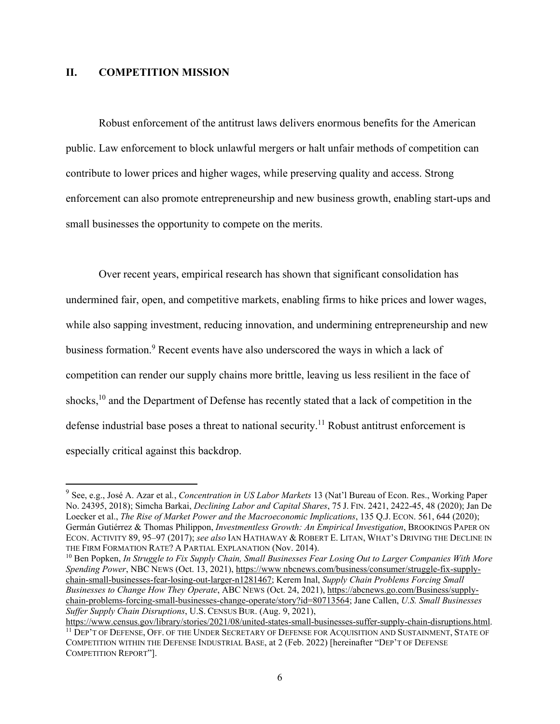## **II. COMPETITION MISSION**

Robust enforcement of the antitrust laws delivers enormous benefits for the American public. Law enforcement to block unlawful mergers or halt unfair methods of competition can contribute to lower prices and higher wages, while preserving quality and access. Strong enforcement can also promote entrepreneurship and new business growth, enabling start-ups and small businesses the opportunity to compete on the merits.

Over recent years, empirical research has shown that significant consolidation has undermined fair, open, and competitive markets, enabling firms to hike prices and lower wages, while also sapping investment, reducing innovation, and undermining entrepreneurship and new business formation.<sup>9</sup> Recent events have also underscored the ways in which a lack of competition can render our supply chains more brittle, leaving us less resilient in the face of shocks,<sup>10</sup> and the Department of Defense has recently stated that a lack of competition in the defense industrial base poses a threat to national security.<sup>11</sup> Robust antitrust enforcement is especially critical against this backdrop.

<sup>9</sup> See, e.g., José A. Azar et al*.*, *Concentration in US Labor Markets* 13 (Nat'l Bureau of Econ. Res., Working Paper No. 24395, 2018); Simcha Barkai, *Declining Labor and Capital Shares*, 75 J. FIN. 2421, 2422-45, 48 (2020); Jan De Loecker et al., *The Rise of Market Power and the Macroeconomic Implications*, 135 Q.J. ECON. 561, 644 (2020); Germán Gutiérrez & Thomas Philippon, *Investmentless Growth: An Empirical Investigation*, BROOKINGS PAPER ON ECON. ACTIVITY 89, 95–97 (2017); *see also* IAN HATHAWAY & ROBERT E. LITAN, WHAT'S DRIVING THE DECLINE IN THE FIRM FORMATION RATE? A PARTIAL EXPLANATION (Nov. 2014).

<sup>10</sup> Ben Popken, *In Struggle to Fix Supply Chain, Small Businesses Fear Losing Out to Larger Companies With More Spending Power*, NBC NEWS (Oct. 13, 2021), https://www nbcnews.com/business/consumer/struggle-fix-supplychain-small-businesses-fear-losing-out-larger-n1281467; Kerem Inal, *Supply Chain Problems Forcing Small Businesses to Change How They Operate*, ABC NEWS (Oct. 24, 2021), https://abcnews.go.com/Business/supplychain-problems-forcing-small-businesses-change-operate/story?id=80713564; Jane Callen, *U.S. Small Businesses Suffer Supply Chain Disruptions*, U.S. CENSUS BUR. (Aug. 9, 2021),

https://www.census.gov/library/stories/2021/08/united-states-small-businesses-suffer-supply-chain-disruptions.html. <sup>11</sup> DEP'T OF DEFENSE, OFF. OF THE UNDER SECRETARY OF DEFENSE FOR ACOUISITION AND SUSTAINMENT, STATE OF COMPETITION WITHIN THE DEFENSE INDUSTRIAL BASE, at 2 (Feb. 2022) [hereinafter "DEP'T OF DEFENSE COMPETITION REPORT"].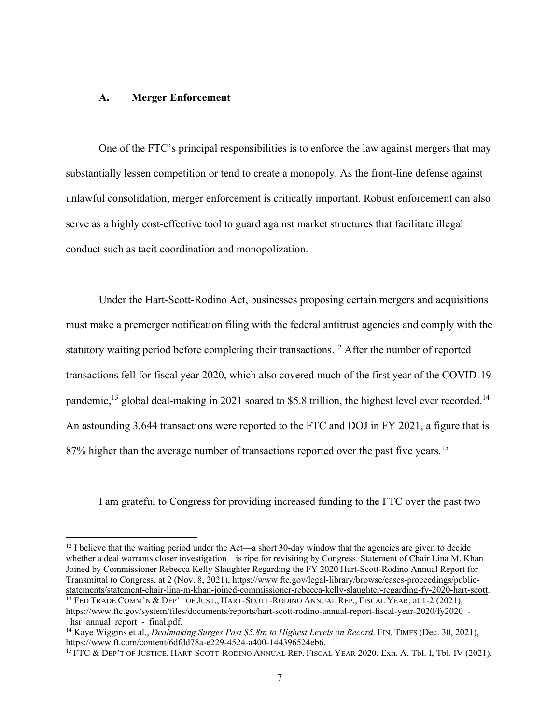### **A. Merger Enforcement**

One of the FTC's principal responsibilities is to enforce the law against mergers that may substantially lessen competition or tend to create a monopoly. As the front-line defense against unlawful consolidation, merger enforcement is critically important. Robust enforcement can also serve as a highly cost-effective tool to guard against market structures that facilitate illegal conduct such as tacit coordination and monopolization.

Under the Hart-Scott-Rodino Act, businesses proposing certain mergers and acquisitions must make a premerger notification filing with the federal antitrust agencies and comply with the statutory waiting period before completing their transactions.<sup>12</sup> After the number of reported transactions fell for fiscal year 2020, which also covered much of the first year of the COVID-19 pandemic,<sup>13</sup> global deal-making in 2021 soared to \$5.8 trillion, the highest level ever recorded.<sup>14</sup> An astounding 3,644 transactions were reported to the FTC and DOJ in FY 2021, a figure that is 87% higher than the average number of transactions reported over the past five years.<sup>15</sup>

I am grateful to Congress for providing increased funding to the FTC over the past two

<sup>&</sup>lt;sup>12</sup> I believe that the waiting period under the Act—a short 30-day window that the agencies are given to decide whether a deal warrants closer investigation—is ripe for revisiting by Congress. Statement of Chair Lina M. Khan Joined by Commissioner Rebecca Kelly Slaughter Regarding the FY 2020 Hart-Scott-Rodino Annual Report for Transmittal to Congress, at 2 (Nov. 8, 2021), https://www ftc.gov/legal-library/browse/cases-proceedings/publicstatements/statement-chair-lina-m-khan-joined-commissioner-rebecca-kelly-slaughter-regarding-fy-2020-hart-scott.<br><sup>13</sup> FED TRADE COMM'N & DEP'T OF JUST., HART-SCOTT-RODINO ANNUAL REP., FISCAL YEAR, at 1-2 (2021), https://www.ftc.gov/system/files/documents/reports/hart-scott-rodino-annual-report-fiscal-year-2020/fy2020 hsr annual report - final.pdf.

<sup>&</sup>lt;sup>14</sup> Kaye Wiggins et al., *Dealmaking Surges Past \$5.8tn to Highest Levels on Record*, FIN. TIMES (Dec. 30, 2021), https://www.ft.com/content/6dfdd78a-e229-4524-a400-144396524eb6.

<sup>&</sup>lt;sup>15</sup> FTC & DEP'T OF JUSTICE, HART-SCOTT-RODINO ANNUAL REP. FISCAL YEAR 2020, Exh. A, Tbl. I, Tbl. IV (2021).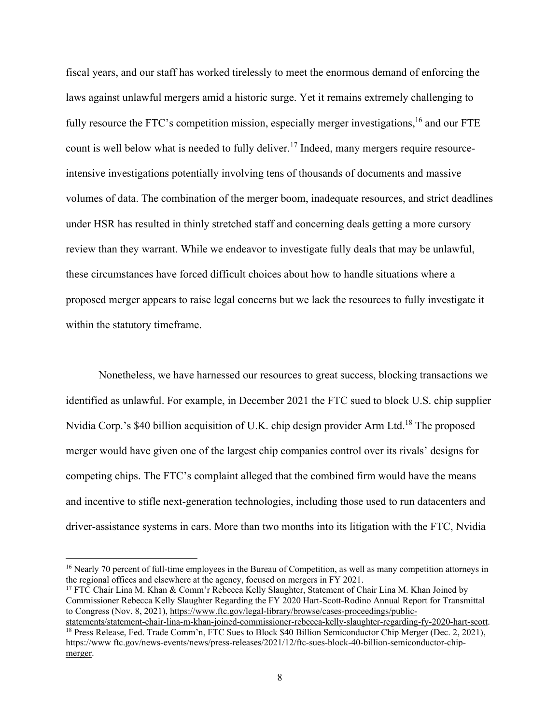fiscal years, and our staff has worked tirelessly to meet the enormous demand of enforcing the laws against unlawful mergers amid a historic surge. Yet it remains extremely challenging to fully resource the FTC's competition mission, especially merger investigations,<sup>16</sup> and our FTE count is well below what is needed to fully deliver.<sup>17</sup> Indeed, many mergers require resourceintensive investigations potentially involving tens of thousands of documents and massive volumes of data. The combination of the merger boom, inadequate resources, and strict deadlines under HSR has resulted in thinly stretched staff and concerning deals getting a more cursory review than they warrant. While we endeavor to investigate fully deals that may be unlawful, these circumstances have forced difficult choices about how to handle situations where a proposed merger appears to raise legal concerns but we lack the resources to fully investigate it within the statutory timeframe.

Nonetheless, we have harnessed our resources to great success, blocking transactions we identified as unlawful. For example, in December 2021 the FTC sued to block U.S. chip supplier Nvidia Corp.'s \$40 billion acquisition of U.K. chip design provider Arm Ltd.<sup>18</sup> The proposed merger would have given one of the largest chip companies control over its rivals' designs for competing chips. The FTC's complaint alleged that the combined firm would have the means and incentive to stifle next-generation technologies, including those used to run datacenters and driver-assistance systems in cars. More than two months into its litigation with the FTC, Nvidia

<sup>17</sup> FTC Chair Lina M. Khan & Comm'r Rebecca Kelly Slaughter, Statement of Chair Lina M. Khan Joined by Commissioner Rebecca Kelly Slaughter Regarding the FY 2020 Hart-Scott-Rodino Annual Report for Transmittal to Congress (Nov. 8, 2021), https://www.ftc.gov/legal-library/browse/cases-proceedings/public-

<sup>&</sup>lt;sup>16</sup> Nearly 70 percent of full-time employees in the Bureau of Competition, as well as many competition attorneys in the regional offices and elsewhere at the agency, focused on mergers in FY 2021.

statements/statement-chair-lina-m-khan-joined-commissioner-rebecca-kelly-slaughter-regarding-fy-2020-hart-scott. 18 Press Release, Fed. Trade Comm'n, FTC Sues to Block \$40 Billion Semiconductor Chip Merger (Dec. 2, 2021), https://www ftc.gov/news-events/news/press-releases/2021/12/ftc-sues-block-40-billion-semiconductor-chipmerger.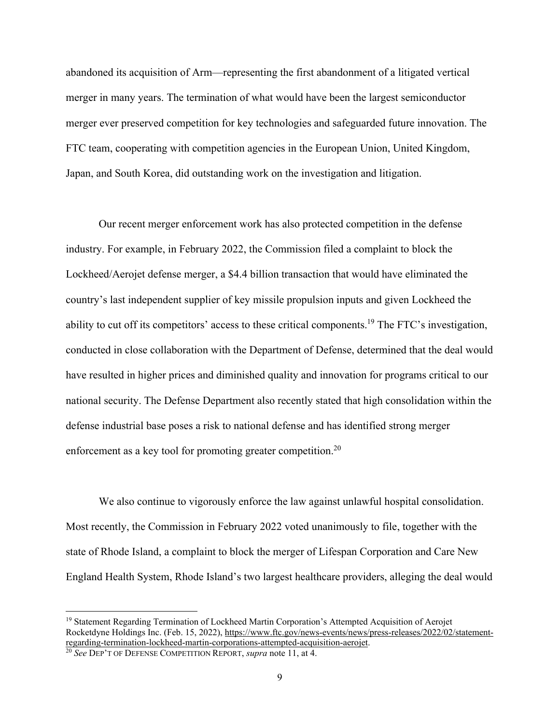abandoned its acquisition of Arm—representing the first abandonment of a litigated vertical merger in many years. The termination of what would have been the largest semiconductor merger ever preserved competition for key technologies and safeguarded future innovation. The FTC team, cooperating with competition agencies in the European Union, United Kingdom, Japan, and South Korea, did outstanding work on the investigation and litigation.

Our recent merger enforcement work has also protected competition in the defense industry. For example, in February 2022, the Commission filed a complaint to block the Lockheed/Aerojet defense merger, a \$4.4 billion transaction that would have eliminated the country's last independent supplier of key missile propulsion inputs and given Lockheed the ability to cut off its competitors' access to these critical components.<sup>19</sup> The FTC's investigation, conducted in close collaboration with the Department of Defense, determined that the deal would have resulted in higher prices and diminished quality and innovation for programs critical to our national security. The Defense Department also recently stated that high consolidation within the defense industrial base poses a risk to national defense and has identified strong merger enforcement as a key tool for promoting greater competition.<sup>20</sup>

We also continue to vigorously enforce the law against unlawful hospital consolidation. Most recently, the Commission in February 2022 voted unanimously to file, together with the state of Rhode Island, a complaint to block the merger of Lifespan Corporation and Care New England Health System, Rhode Island's two largest healthcare providers, alleging the deal would

<sup>&</sup>lt;sup>19</sup> Statement Regarding Termination of Lockheed Martin Corporation's Attempted Acquisition of Aerojet Rocketdyne Holdings Inc. (Feb. 15, 2022), https://www.ftc.gov/news-events/news/press-releases/2022/02/statementregarding-termination-lockheed-martin-corporations-attempted-acquisition-aerojet. 20 *See* DEP'T OF DEFENSE COMPETITION REPORT, *supra* note 11, at 4.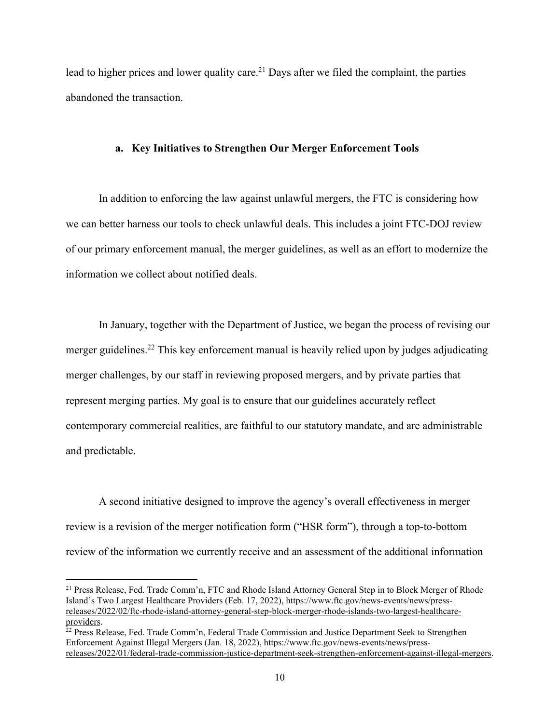lead to higher prices and lower quality care.<sup>21</sup> Days after we filed the complaint, the parties abandoned the transaction.

#### **a. Key Initiatives to Strengthen Our Merger Enforcement Tools**

In addition to enforcing the law against unlawful mergers, the FTC is considering how we can better harness our tools to check unlawful deals. This includes a joint FTC-DOJ review of our primary enforcement manual, the merger guidelines, as well as an effort to modernize the information we collect about notified deals.

In January, together with the Department of Justice, we began the process of revising our merger guidelines.<sup>22</sup> This key enforcement manual is heavily relied upon by judges adjudicating merger challenges, by our staff in reviewing proposed mergers, and by private parties that represent merging parties. My goal is to ensure that our guidelines accurately reflect contemporary commercial realities, are faithful to our statutory mandate, and are administrable and predictable.

A second initiative designed to improve the agency's overall effectiveness in merger review is a revision of the merger notification form ("HSR form"), through a top-to-bottom review of the information we currently receive and an assessment of the additional information

<sup>21</sup> Press Release, Fed. Trade Comm'n, FTC and Rhode Island Attorney General Step in to Block Merger of Rhode Island's Two Largest Healthcare Providers (Feb. 17, 2022), https://www.ftc.gov/news-events/news/pressreleases/2022/02/ftc-rhode-island-attorney-general-step-block-merger-rhode-islands-two-largest-healthcareproviders.

<sup>&</sup>lt;sup>22</sup> Press Release, Fed. Trade Comm'n, Federal Trade Commission and Justice Department Seek to Strengthen Enforcement Against Illegal Mergers (Jan. 18, 2022), https://www.ftc.gov/news-events/news/pressreleases/2022/01/federal-trade-commission-justice-department-seek-strengthen-enforcement-against-illegal-mergers.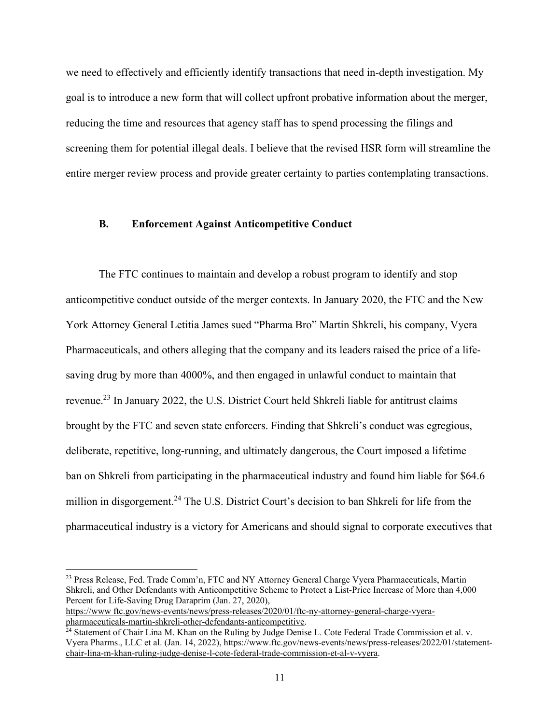we need to effectively and efficiently identify transactions that need in-depth investigation. My goal is to introduce a new form that will collect upfront probative information about the merger, reducing the time and resources that agency staff has to spend processing the filings and screening them for potential illegal deals. I believe that the revised HSR form will streamline the entire merger review process and provide greater certainty to parties contemplating transactions.

#### **B. Enforcement Against Anticompetitive Conduct**

The FTC continues to maintain and develop a robust program to identify and stop anticompetitive conduct outside of the merger contexts. In January 2020, the FTC and the New York Attorney General Letitia James sued "Pharma Bro" Martin Shkreli, his company, Vyera Pharmaceuticals, and others alleging that the company and its leaders raised the price of a lifesaving drug by more than 4000%, and then engaged in unlawful conduct to maintain that revenue.23 In January 2022, the U.S. District Court held Shkreli liable for antitrust claims brought by the FTC and seven state enforcers. Finding that Shkreli's conduct was egregious, deliberate, repetitive, long-running, and ultimately dangerous, the Court imposed a lifetime ban on Shkreli from participating in the pharmaceutical industry and found him liable for \$64.6 million in disgorgement.<sup>24</sup> The U.S. District Court's decision to ban Shkreli for life from the pharmaceutical industry is a victory for Americans and should signal to corporate executives that

https://www ftc.gov/news-events/news/press-releases/2020/01/ftc-ny-attorney-general-charge-vyera-<br>pharmaceuticals-martin-shkreli-other-defendants-anticompetitive.

<sup>&</sup>lt;sup>23</sup> Press Release, Fed. Trade Comm'n, FTC and NY Attorney General Charge Vyera Pharmaceuticals, Martin Shkreli, and Other Defendants with Anticompetitive Scheme to Protect a List-Price Increase of More than 4,000 Percent for Life-Saving Drug Daraprim (Jan. 27, 2020),

<sup>&</sup>lt;sup>24</sup> Statement of Chair Lina M. Khan on the Ruling by Judge Denise L. Cote Federal Trade Commission et al. v. Vyera Pharms., LLC et al. (Jan. 14, 2022), https://www.ftc.gov/news-events/news/press-releases/2022/01/statementchair-lina-m-khan-ruling-judge-denise-l-cote-federal-trade-commission-et-al-v-vyera.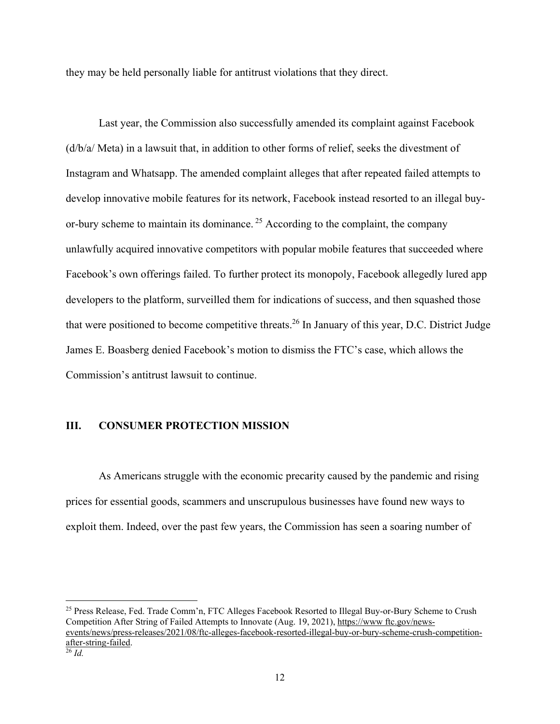they may be held personally liable for antitrust violations that they direct.

Last year, the Commission also successfully amended its complaint against Facebook (d/b/a/ Meta) in a lawsuit that, in addition to other forms of relief, seeks the divestment of Instagram and Whatsapp. The amended complaint alleges that after repeated failed attempts to develop innovative mobile features for its network, Facebook instead resorted to an illegal buyor-bury scheme to maintain its dominance.<sup>25</sup> According to the complaint, the company unlawfully acquired innovative competitors with popular mobile features that succeeded where Facebook's own offerings failed. To further protect its monopoly, Facebook allegedly lured app developers to the platform, surveilled them for indications of success, and then squashed those that were positioned to become competitive threats.<sup>26</sup> In January of this year, D.C. District Judge James E. Boasberg denied Facebook's motion to dismiss the FTC's case, which allows the Commission's antitrust lawsuit to continue.

### **III. CONSUMER PROTECTION MISSION**

As Americans struggle with the economic precarity caused by the pandemic and rising prices for essential goods, scammers and unscrupulous businesses have found new ways to exploit them. Indeed, over the past few years, the Commission has seen a soaring number of

<sup>25</sup> Press Release, Fed. Trade Comm'n, FTC Alleges Facebook Resorted to Illegal Buy-or-Bury Scheme to Crush Competition After String of Failed Attempts to Innovate (Aug. 19, 2021), https://www ftc.gov/newsevents/news/press-releases/2021/08/ftc-alleges-facebook-resorted-illegal-buy-or-bury-scheme-crush-competitionafter-string-failed. <sup>26</sup> *Id.*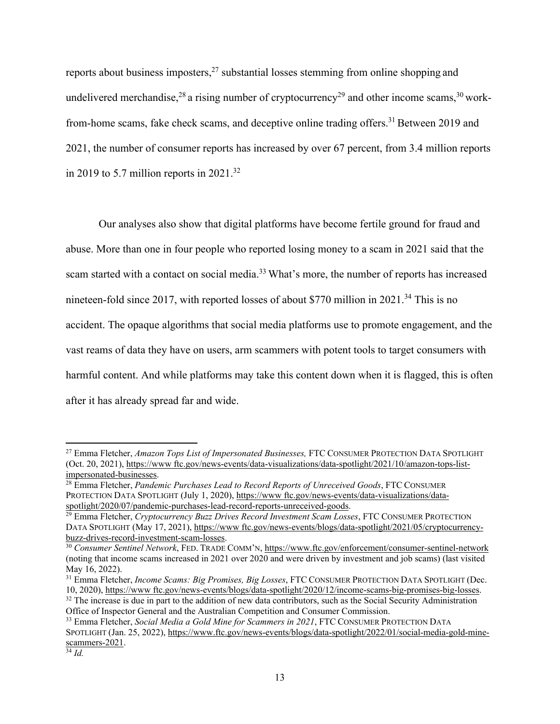reports about business imposters,  $27$  substantial losses stemming from online shopping and undelivered merchandise,<sup>28</sup> a rising number of cryptocurrency<sup>29</sup> and other income scams,<sup>30</sup> workfrom-home scams, fake check scams, and deceptive online trading offers.<sup>31</sup> Between 2019 and 2021, the number of consumer reports has increased by over 67 percent, from 3.4 million reports in 2019 to 5.7 million reports in  $2021.^{32}$ 

Our analyses also show that digital platforms have become fertile ground for fraud and abuse. More than one in four people who reported losing money to a scam in 2021 said that the scam started with a contact on social media.<sup>33</sup> What's more, the number of reports has increased nineteen-fold since 2017, with reported losses of about \$770 million in 2021.<sup>34</sup> This is no accident. The opaque algorithms that social media platforms use to promote engagement, and the vast reams of data they have on users, arm scammers with potent tools to target consumers with harmful content. And while platforms may take this content down when it is flagged, this is often after it has already spread far and wide.

<sup>27</sup> Emma Fletcher, *Amazon Tops List of Impersonated Businesses,* FTC CONSUMER PROTECTION DATA SPOTLIGHT (Oct. 20, 2021), https://www ftc.gov/news-events/data-visualizations/data-spotlight/2021/10/amazon-tops-listimpersonated-businesses.

<sup>&</sup>lt;sup>28</sup> Emma Fletcher, *Pandemic Purchases Lead to Record Reports of Unreceived Goods*, FTC CONSUMER PROTECTION DATA SPOTLIGHT (July 1, 2020), https://www.ftc.gov/news-events/data-visualizations/data-<br>spotlight/2020/07/pandemic-purchases-lead-record-reports-unreceived-goods.

<sup>&</sup>lt;sup>29</sup> Emma Fletcher, *Cryptocurrency Buzz Drives Record Investment Scam Losses*, FTC CONSUMER PROTECTION DATA SPOTLIGHT (May 17, 2021), https://www ftc.gov/news-events/blogs/data-spotlight/2021/05/cryptocurrencybuzz-drives-record-investment-scam-losses.

<sup>30</sup> *Consumer Sentinel Network*, FED. TRADE COMM'N, https://www.ftc.gov/enforcement/consumer-sentinel-network (noting that income scams increased in 2021 over 2020 and were driven by investment and job scams) (last visited May 16, 2022).

<sup>31</sup> Emma Fletcher, *Income Scams: Big Promises, Big Losses*, FTC CONSUMER PROTECTION DATA SPOTLIGHT (Dec. 10, 2020), https://www.ftc.gov/news-events/blogs/data-spotlight/2020/12/income-scams-big-promises-big-losses.<br><sup>32</sup> The increase is due in part to the addition of new data contributors, such as the Social Security Administr

Office of Inspector General and the Australian Competition and Consumer Commission.

<sup>33</sup> Emma Fletcher, *Social Media a Gold Mine for Scammers in 2021*, FTC CONSUMER PROTECTION DATA SPOTLIGHT (Jan. 25, 2022), https://www.ftc.gov/news-events/blogs/data-spotlight/2022/01/social-media-gold-minescammers-2021.

<sup>34</sup> *Id.*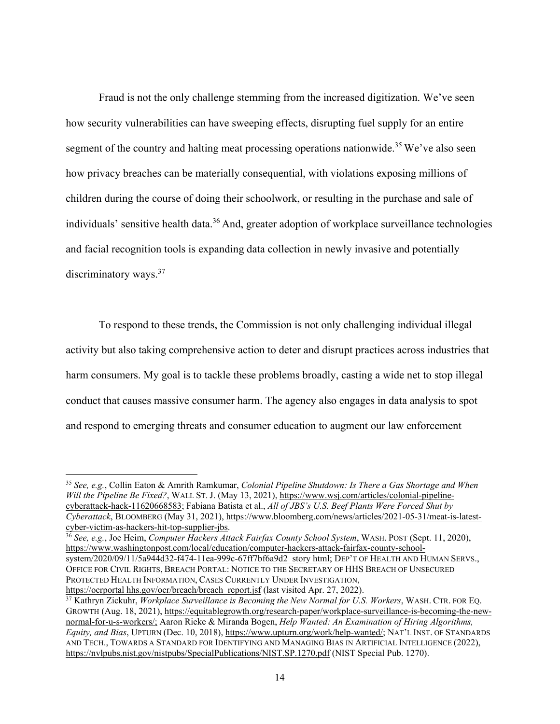Fraud is not the only challenge stemming from the increased digitization. We've seen how security vulnerabilities can have sweeping effects, disrupting fuel supply for an entire segment of the country and halting meat processing operations nationwide.<sup>35</sup> We've also seen how privacy breaches can be materially consequential, with violations exposing millions of children during the course of doing their schoolwork, or resulting in the purchase and sale of individuals' sensitive health data.<sup>36</sup> And, greater adoption of workplace surveillance technologies and facial recognition tools is expanding data collection in newly invasive and potentially discriminatory ways.<sup>37</sup>

To respond to these trends, the Commission is not only challenging individual illegal activity but also taking comprehensive action to deter and disrupt practices across industries that harm consumers. My goal is to tackle these problems broadly, casting a wide net to stop illegal conduct that causes massive consumer harm. The agency also engages in data analysis to spot and respond to emerging threats and consumer education to augment our law enforcement

<sup>36</sup> *See, e.g.*, Joe Heim, *Computer Hackers Attack Fairfax County School System*, WASH. POST (Sept. 11, 2020), https://www.washingtonpost.com/local/education/computer-hackers-attack-fairfax-county-schoolsystem/2020/09/11/5a944d32-f474-11ea-999c-67ff7bf6a9d2 story html; DEP'T OF HEALTH AND HUMAN SERVS., OFFICE FOR CIVIL RIGHTS, BREACH PORTAL: NOTICE TO THE SECRETARY OF HHS BREACH OF UNSECURED PROTECTED HEALTH INFORMATION, CASES CURRENTLY UNDER INVESTIGATION,

<sup>35</sup> *See, e.g.*, Collin Eaton & Amrith Ramkumar, *Colonial Pipeline Shutdown: Is There a Gas Shortage and When Will the Pipeline Be Fixed?*, WALL ST. J. (May 13, 2021), https://www.wsj.com/articles/colonial-pipelinecyberattack-hack-11620668583; Fabiana Batista et al., *All of JBS's U.S. Beef Plants Were Forced Shut by Cyberattack*, BLOOMBERG (May 31, 2021), https://www.bloomberg.com/news/articles/2021-05-31/meat-is-latestcyber-victim-as-hackers-hit-top-supplier-jbs.

https://ocrportal hhs.gov/ocr/breach/breach report.jsf (last visited Apr. 27, 2022). 37 Kathryn Zickuhr, *Workplace Surveillance is Becoming the New Normal for U.S. Workers*, WASH. CTR. FOR EQ. GROWTH (Aug. 18, 2021), https://equitablegrowth.org/research-paper/workplace-surveillance-is-becoming-the-newnormal-for-u-s-workers/; Aaron Rieke & Miranda Bogen, *Help Wanted: An Examination of Hiring Algorithms, Equity, and Bias*, UPTURN (Dec. 10, 2018), https://www.upturn.org/work/help-wanted/; NAT'L INST. OF STANDARDS AND TECH., TOWARDS A STANDARD FOR IDENTIFYING AND MANAGING BIAS IN ARTIFICIAL INTELLIGENCE (2022), https://nvlpubs.nist.gov/nistpubs/SpecialPublications/NIST.SP.1270.pdf (NIST Special Pub. 1270).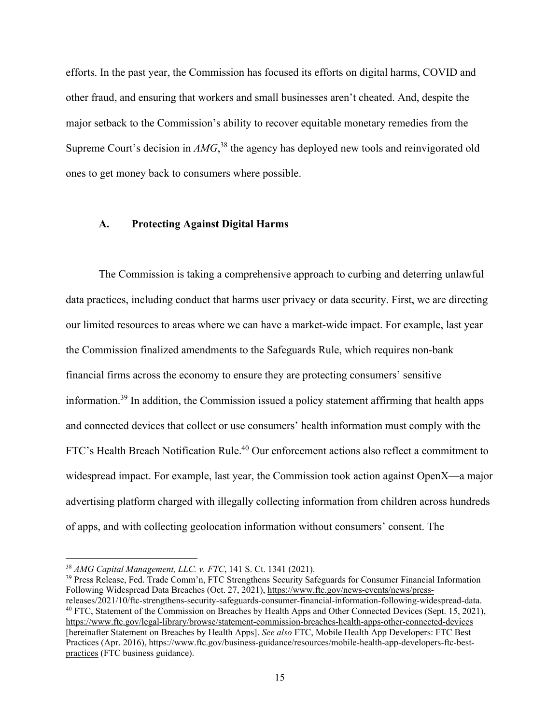efforts. In the past year, the Commission has focused its efforts on digital harms, COVID and other fraud, and ensuring that workers and small businesses aren't cheated. And, despite the major setback to the Commission's ability to recover equitable monetary remedies from the Supreme Court's decision in *AMG*,<sup>38</sup> the agency has deployed new tools and reinvigorated old ones to get money back to consumers where possible.

#### **A. Protecting Against Digital Harms**

The Commission is taking a comprehensive approach to curbing and deterring unlawful data practices, including conduct that harms user privacy or data security. First, we are directing our limited resources to areas where we can have a market-wide impact. For example, last year the Commission finalized amendments to the Safeguards Rule, which requires non-bank financial firms across the economy to ensure they are protecting consumers' sensitive information.39 In addition, the Commission issued a policy statement affirming that health apps and connected devices that collect or use consumers' health information must comply with the FTC's Health Breach Notification Rule.<sup>40</sup> Our enforcement actions also reflect a commitment to widespread impact. For example, last year, the Commission took action against OpenX—a major advertising platform charged with illegally collecting information from children across hundreds of apps, and with collecting geolocation information without consumers' consent. The

<sup>&</sup>lt;sup>38</sup> AMG Capital Management, LLC. v. FTC, 141 S. Ct. 1341 (2021).<br><sup>39</sup> Press Release, Fed. Trade Comm'n, FTC Strengthens Security Safeguards for Consumer Financial Information Following Widespread Data Breaches (Oct. 27, 2021), https://www.ftc.gov/news-events/news/press-<br>releases/2021/10/ftc-strengthens-security-safeguards-consumer-financial-information-following-widespread-data.

 $40$  FTC, Statement of the Commission on Breaches by Health Apps and Other Connected Devices (Sept. 15, 2021), https://www.ftc.gov/legal-library/browse/statement-commission-breaches-health-apps-other-connected-devices [hereinafter Statement on Breaches by Health Apps]. *See also* FTC, Mobile Health App Developers: FTC Best Practices (Apr. 2016), https://www.ftc.gov/business-guidance/resources/mobile-health-app-developers-ftc-bestpractices (FTC business guidance).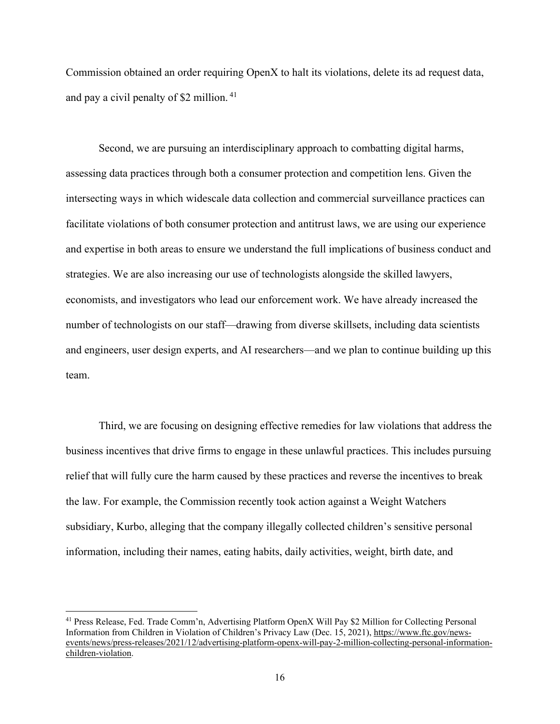Commission obtained an order requiring OpenX to halt its violations, delete its ad request data, and pay a civil penalty of \$2 million. 41

Second, we are pursuing an interdisciplinary approach to combatting digital harms, assessing data practices through both a consumer protection and competition lens. Given the intersecting ways in which widescale data collection and commercial surveillance practices can facilitate violations of both consumer protection and antitrust laws, we are using our experience and expertise in both areas to ensure we understand the full implications of business conduct and strategies. We are also increasing our use of technologists alongside the skilled lawyers, economists, and investigators who lead our enforcement work. We have already increased the number of technologists on our staff—drawing from diverse skillsets, including data scientists and engineers, user design experts, and AI researchers—and we plan to continue building up this team.

Third, we are focusing on designing effective remedies for law violations that address the business incentives that drive firms to engage in these unlawful practices. This includes pursuing relief that will fully cure the harm caused by these practices and reverse the incentives to break the law. For example, the Commission recently took action against a Weight Watchers subsidiary, Kurbo, alleging that the company illegally collected children's sensitive personal information, including their names, eating habits, daily activities, weight, birth date, and

<sup>41</sup> Press Release, Fed. Trade Comm'n, Advertising Platform OpenX Will Pay \$2 Million for Collecting Personal Information from Children in Violation of Children's Privacy Law (Dec. 15, 2021), https://www.ftc.gov/newsevents/news/press-releases/2021/12/advertising-platform-openx-will-pay-2-million-collecting-personal-informationchildren-violation.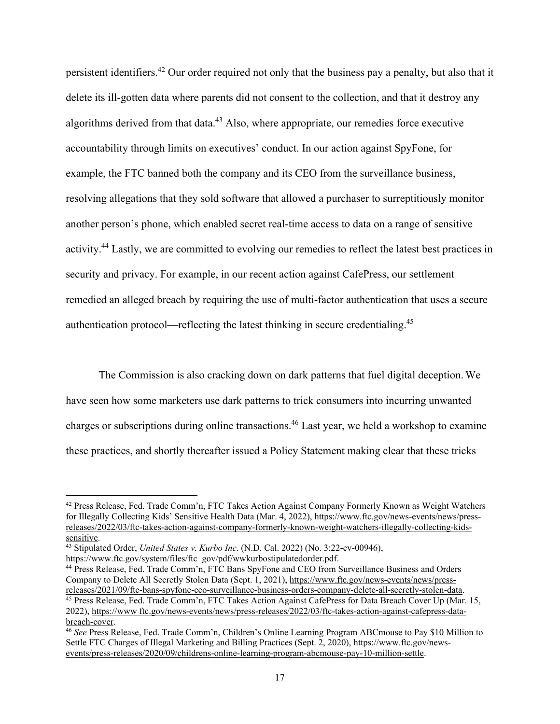persistent identifiers.42 Our order required not only that the business pay a penalty, but also that it delete its ill-gotten data where parents did not consent to the collection, and that it destroy any algorithms derived from that data. $43$  Also, where appropriate, our remedies force executive accountability through limits on executives' conduct. In our action against SpyFone, for example, the FTC banned both the company and its CEO from the surveillance business, resolving allegations that they sold software that allowed a purchaser to surreptitiously monitor another person's phone, which enabled secret real-time access to data on a range of sensitive activity.44 Lastly, we are committed to evolving our remedies to reflect the latest best practices in security and privacy. For example, in our recent action against CafePress, our settlement remedied an alleged breach by requiring the use of multi-factor authentication that uses a secure authentication protocol—reflecting the latest thinking in secure credentialing.45

The Commission is also cracking down on dark patterns that fuel digital deception. We have seen how some marketers use dark patterns to trick consumers into incurring unwanted charges or subscriptions during online transactions.46 Last year, we held a workshop to examine these practices, and shortly thereafter issued a Policy Statement making clear that these tricks

<sup>42</sup> Press Release, Fed. Trade Comm'n, FTC Takes Action Against Company Formerly Known as Weight Watchers for Illegally Collecting Kids' Sensitive Health Data (Mar. 4, 2022), https://www.ftc.gov/news-events/news/pressreleases/2022/03/ftc-takes-action-against-company-formerly-known-weight-watchers-illegally-collecting-kidssensitive.

<sup>43</sup> Stipulated Order, *United States v. Kurbo Inc*. (N.D. Cal. 2022) (No. 3:22-cv-00946),

https://www.ftc.gov/system/files/ftc gov/pdf/wwkurbostipulatedorder.pdf.

<sup>&</sup>lt;sup>44</sup> Press Release, Fed. Trade Comm'n, FTC Bans SpyFone and CEO from Surveillance Business and Orders Company to Delete All Secretly Stolen Data (Sept. 1, 2021), https://www.ftc.gov/news-events/news/pressreleases/2021/09/ftc-bans-spyfone-ceo-surveillance-business-orders-company-delete-all-secretly-stolen-data. 45 Press Release, Fed. Trade Comm'n, FTC Takes Action Against CafePress for Data Breach Cover Up (Mar. 15,

<sup>2022),</sup> https://www ftc.gov/news-events/news/press-releases/2022/03/ftc-takes-action-against-cafepress-databreach-cover.

<sup>46</sup> *See* Press Release, Fed. Trade Comm'n, Children's Online Learning Program ABCmouse to Pay \$10 Million to Settle FTC Charges of Illegal Marketing and Billing Practices (Sept. 2, 2020), https://www.ftc.gov/newsevents/press-releases/2020/09/childrens-online-learning-program-abcmouse-pay-10-million-settle.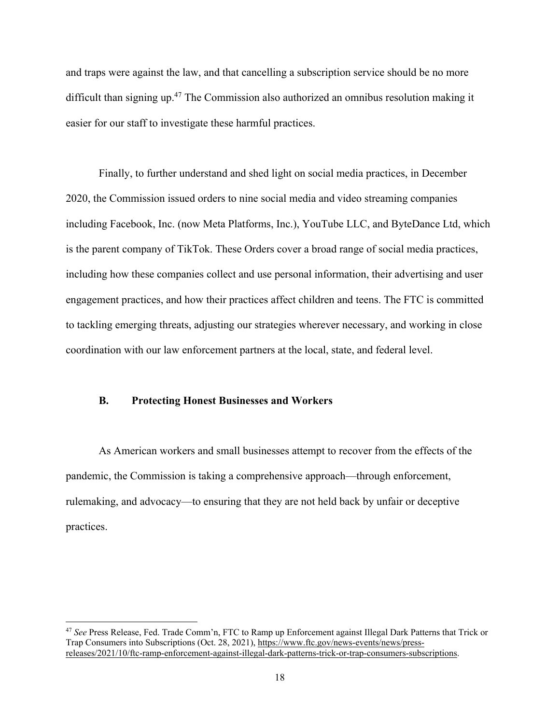and traps were against the law, and that cancelling a subscription service should be no more difficult than signing up.47 The Commission also authorized an omnibus resolution making it easier for our staff to investigate these harmful practices.

Finally, to further understand and shed light on social media practices, in December 2020, the Commission issued orders to nine social media and video streaming companies including Facebook, Inc. (now Meta Platforms, Inc.), YouTube LLC, and ByteDance Ltd, which is the parent company of TikTok. These Orders cover a broad range of social media practices, including how these companies collect and use personal information, their advertising and user engagement practices, and how their practices affect children and teens. The FTC is committed to tackling emerging threats, adjusting our strategies wherever necessary, and working in close coordination with our law enforcement partners at the local, state, and federal level.

#### **B. Protecting Honest Businesses and Workers**

As American workers and small businesses attempt to recover from the effects of the pandemic, the Commission is taking a comprehensive approach—through enforcement, rulemaking, and advocacy—to ensuring that they are not held back by unfair or deceptive practices.

<sup>47</sup> *See* Press Release, Fed. Trade Comm'n, FTC to Ramp up Enforcement against Illegal Dark Patterns that Trick or Trap Consumers into Subscriptions (Oct. 28, 2021), https://www.ftc.gov/news-events/news/pressreleases/2021/10/ftc-ramp-enforcement-against-illegal-dark-patterns-trick-or-trap-consumers-subscriptions.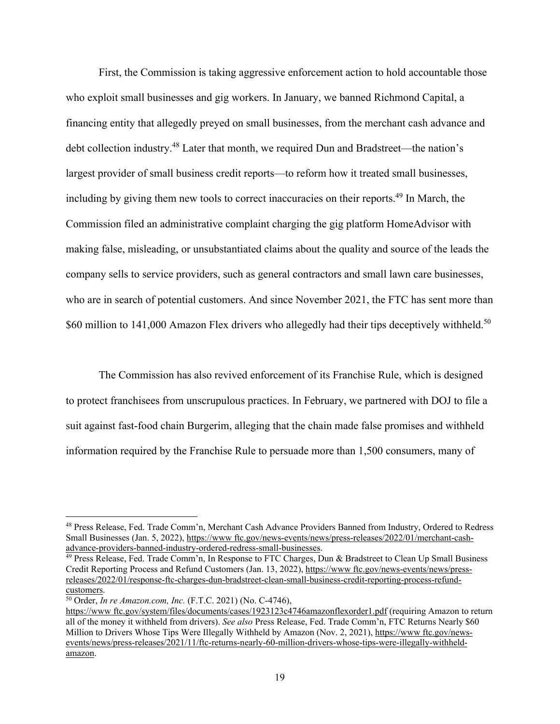First, the Commission is taking aggressive enforcement action to hold accountable those who exploit small businesses and gig workers. In January, we banned Richmond Capital, a financing entity that allegedly preyed on small businesses, from the merchant cash advance and debt collection industry.48 Later that month, we required Dun and Bradstreet—the nation's largest provider of small business credit reports—to reform how it treated small businesses, including by giving them new tools to correct inaccuracies on their reports.<sup>49</sup> In March, the Commission filed an administrative complaint charging the gig platform HomeAdvisor with making false, misleading, or unsubstantiated claims about the quality and source of the leads the company sells to service providers, such as general contractors and small lawn care businesses, who are in search of potential customers. And since November 2021, the FTC has sent more than \$60 million to 141,000 Amazon Flex drivers who allegedly had their tips deceptively withheld.<sup>50</sup>

The Commission has also revived enforcement of its Franchise Rule, which is designed to protect franchisees from unscrupulous practices. In February, we partnered with DOJ to file a suit against fast-food chain Burgerim, alleging that the chain made false promises and withheld information required by the Franchise Rule to persuade more than 1,500 consumers, many of

<sup>48</sup> Press Release, Fed. Trade Comm'n, Merchant Cash Advance Providers Banned from Industry, Ordered to Redress Small Businesses (Jan. 5, 2022), https://www ftc.gov/news-events/news/press-releases/2022/01/merchant-cashadvance-providers-banned-industry-ordered-redress-small-businesses.

<sup>&</sup>lt;sup>49</sup> Press Release, Fed. Trade Comm'n, In Response to FTC Charges, Dun & Bradstreet to Clean Up Small Business Credit Reporting Process and Refund Customers (Jan. 13, 2022), https://www ftc.gov/news-events/news/pressreleases/2022/01/response-ftc-charges-dun-bradstreet-clean-small-business-credit-reporting-process-refundcustomers.

<sup>50</sup> Order, *In re Amazon.com, Inc.* (F.T.C. 2021) (No. C-4746),

https://www ftc.gov/system/files/documents/cases/1923123c4746amazonflexorder1.pdf (requiring Amazon to return all of the money it withheld from drivers). *See also* Press Release, Fed. Trade Comm'n, FTC Returns Nearly \$60 Million to Drivers Whose Tips Were Illegally Withheld by Amazon (Nov. 2, 2021), https://www ftc.gov/newsevents/news/press-releases/2021/11/ftc-returns-nearly-60-million-drivers-whose-tips-were-illegally-withheldamazon.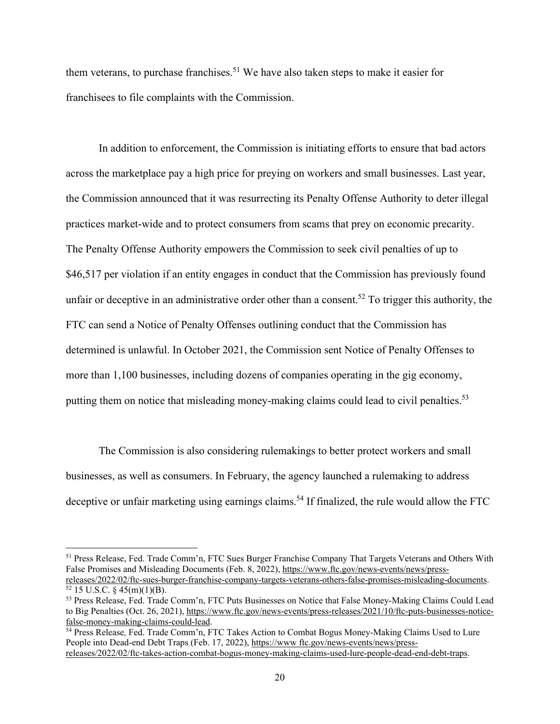them veterans, to purchase franchises.<sup>51</sup> We have also taken steps to make it easier for franchisees to file complaints with the Commission.

In addition to enforcement, the Commission is initiating efforts to ensure that bad actors across the marketplace pay a high price for preying on workers and small businesses. Last year, the Commission announced that it was resurrecting its Penalty Offense Authority to deter illegal practices market-wide and to protect consumers from scams that prey on economic precarity. The Penalty Offense Authority empowers the Commission to seek civil penalties of up to \$46,517 per violation if an entity engages in conduct that the Commission has previously found unfair or deceptive in an administrative order other than a consent.<sup>52</sup> To trigger this authority, the FTC can send a Notice of Penalty Offenses outlining conduct that the Commission has determined is unlawful. In October 2021, the Commission sent Notice of Penalty Offenses to more than 1,100 businesses, including dozens of companies operating in the gig economy, putting them on notice that misleading money-making claims could lead to civil penalties.<sup>53</sup>

The Commission is also considering rulemakings to better protect workers and small businesses, as well as consumers. In February, the agency launched a rulemaking to address deceptive or unfair marketing using earnings claims.<sup>54</sup> If finalized, the rule would allow the FTC

<sup>51</sup> Press Release, Fed. Trade Comm'n, FTC Sues Burger Franchise Company That Targets Veterans and Others With False Promises and Misleading Documents (Feb. 8, 2022), https://www.ftc.gov/news-events/news/pressreleases/2022/02/ftc-sues-burger-franchise-company-targets-veterans-others-false-promises-misleading-documents.

 $52$  15 U.S.C. § 45(m)(1)(B).

<sup>53</sup> Press Release, Fed. Trade Comm'n, FTC Puts Businesses on Notice that False Money-Making Claims Could Lead to Big Penalties (Oct. 26, 2021), https://www.ftc.gov/news-events/press-releases/2021/10/ftc-puts-businesses-noticefalse-money-making-claims-could-lead.

<sup>54</sup> Press Release*,* Fed. Trade Comm'n, FTC Takes Action to Combat Bogus Money-Making Claims Used to Lure People into Dead-end Debt Traps (Feb. 17, 2022), https://www ftc.gov/news-events/news/pressreleases/2022/02/ftc-takes-action-combat-bogus-money-making-claims-used-lure-people-dead-end-debt-traps.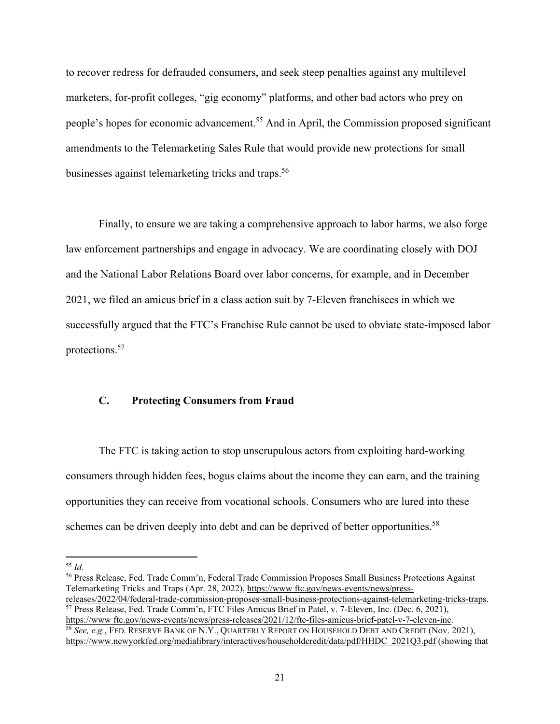to recover redress for defrauded consumers, and seek steep penalties against any multilevel marketers, for-profit colleges, "gig economy" platforms, and other bad actors who prey on people's hopes for economic advancement.55 And in April, the Commission proposed significant amendments to the Telemarketing Sales Rule that would provide new protections for small businesses against telemarketing tricks and traps.<sup>56</sup>

Finally, to ensure we are taking a comprehensive approach to labor harms, we also forge law enforcement partnerships and engage in advocacy. We are coordinating closely with DOJ and the National Labor Relations Board over labor concerns, for example, and in December 2021, we filed an amicus brief in a class action suit by 7-Eleven franchisees in which we successfully argued that the FTC's Franchise Rule cannot be used to obviate state-imposed labor protections.57

# **C. Protecting Consumers from Fraud**

The FTC is taking action to stop unscrupulous actors from exploiting hard-working consumers through hidden fees, bogus claims about the income they can earn, and the training opportunities they can receive from vocational schools. Consumers who are lured into these schemes can be driven deeply into debt and can be deprived of better opportunities.<sup>58</sup>

56 Press Release, Fed. Trade Comm'n, Federal Trade Commission Proposes Small Business Protections Against Telemarketing Tricks and Traps (Apr. 28, 2022), https://www ftc.gov/news-events/news/pressreleases/2022/04/federal-trade-commission-proposes-small-business-protections-against-telemarketing-tricks-traps. 57 Press Release, Fed. Trade Comm'n, FTC Files Amicus Brief in Patel, v. 7-Eleven, Inc. (Dec. 6, 2021),

https://www ftc.gov/news-events/news/press-releases/2021/12/ftc-files-amicus-brief-patel-v-7-eleven-inc. 58 *See, e.g.*, FED. RESERVE BANK OF N.Y., QUARTERLY REPORT ON HOUSEHOLD DEBT AND CREDIT (Nov. 2021), https://www.newyorkfed.org/medialibrary/interactives/householdcredit/data/pdf/HHDC 2021Q3.pdf (showing that

<sup>55</sup> *Id.*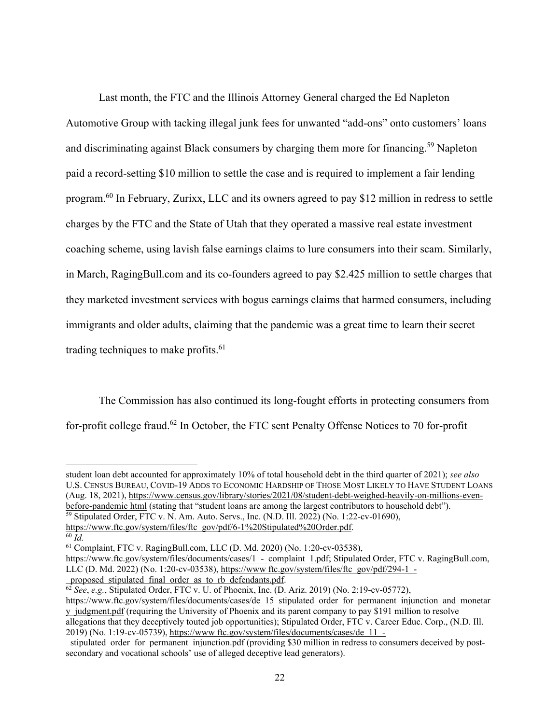Last month, the FTC and the Illinois Attorney General charged the Ed Napleton Automotive Group with tacking illegal junk fees for unwanted "add-ons" onto customers' loans and discriminating against Black consumers by charging them more for financing.<sup>59</sup> Napleton paid a record-setting \$10 million to settle the case and is required to implement a fair lending program.60 In February, Zurixx, LLC and its owners agreed to pay \$12 million in redress to settle charges by the FTC and the State of Utah that they operated a massive real estate investment coaching scheme, using lavish false earnings claims to lure consumers into their scam. Similarly, in March, RagingBull.com and its co-founders agreed to pay \$2.425 million to settle charges that they marketed investment services with bogus earnings claims that harmed consumers, including immigrants and older adults, claiming that the pandemic was a great time to learn their secret trading techniques to make profits.<sup>61</sup>

The Commission has also continued its long-fought efforts in protecting consumers from for-profit college fraud.<sup>62</sup> In October, the FTC sent Penalty Offense Notices to 70 for-profit

student loan debt accounted for approximately 10% of total household debt in the third quarter of 2021); *see also*  U.S. CENSUS BUREAU, COVID-19 ADDS TO ECONOMIC HARDSHIP OF THOSE MOST LIKELY TO HAVE STUDENT LOANS (Aug. 18, 2021), https://www.census.gov/library/stories/2021/08/student-debt-weighed-heavily-on-millions-evenbefore-pandemic html (stating that "student loans are among the largest contributors to household debt").

59 Stipulated Order, FTC v. N. Am. Auto. Servs., Inc. (N.D. Ill. 2022) (No. 1:22-cv-01690),

https://www.ftc.gov/system/files/ftc gov/pdf/6-1%20Stipulated%20Order.pdf. 60 *Id.* 

2019) (No. 1:19-cv-05739), https://www ftc.gov/system/files/documents/cases/de 11 -

<sup>61</sup> Complaint, FTC v. RagingBull.com, LLC (D. Md. 2020) (No. 1:20-cv-03538),

https://www.ftc.gov/system/files/documents/cases/1 - complaint 1.pdf; Stipulated Order, FTC v. RagingBull.com, LLC (D. Md. 2022) (No. 1:20-cv-03538), https://www ftc.gov/system/files/ftc gov/pdf/294-1 proposed stipulated final order as to rb defendants.pdf.

<sup>62</sup> *See*, *e.g.*, Stipulated Order, FTC v. U. of Phoenix, Inc. (D. Ariz. 2019) (No. 2:19-cv-05772),

https://www.ftc.gov/system/files/documents/cases/de 15 stipulated order for permanent injunction and monetar y judgment.pdf (requiring the University of Phoenix and its parent company to pay \$191 million to resolve allegations that they deceptively touted job opportunities); Stipulated Order, FTC v. Career Educ. Corp., (N.D. Ill.

stipulated order for permanent injunction.pdf (providing \$30 million in redress to consumers deceived by postsecondary and vocational schools' use of alleged deceptive lead generators).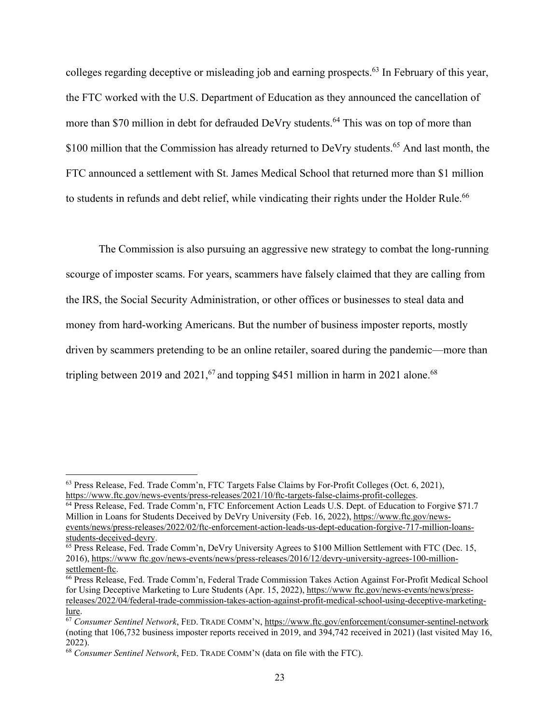colleges regarding deceptive or misleading job and earning prospects.<sup>63</sup> In February of this year, the FTC worked with the U.S. Department of Education as they announced the cancellation of more than \$70 million in debt for defrauded DeVry students.<sup>64</sup> This was on top of more than \$100 million that the Commission has already returned to DeVry students.<sup>65</sup> And last month, the FTC announced a settlement with St. James Medical School that returned more than \$1 million to students in refunds and debt relief, while vindicating their rights under the Holder Rule.<sup>66</sup>

The Commission is also pursuing an aggressive new strategy to combat the long-running scourge of imposter scams. For years, scammers have falsely claimed that they are calling from the IRS, the Social Security Administration, or other offices or businesses to steal data and money from hard-working Americans. But the number of business imposter reports, mostly driven by scammers pretending to be an online retailer, soared during the pandemic—more than tripling between 2019 and 2021,<sup>67</sup> and topping \$451 million in harm in 2021 alone.<sup>68</sup>

<sup>63</sup> Press Release, Fed. Trade Comm'n, FTC Targets False Claims by For-Profit Colleges (Oct. 6, 2021),

https://www.ftc.gov/news-events/press-releases/2021/10/ftc-targets-false-claims-profit-colleges.<br><sup>64</sup> Press Release, Fed. Trade Comm'n, FTC Enforcement Action Leads U.S. Dept. of Education to Forgive \$71.7 Million in Loans for Students Deceived by DeVry University (Feb. 16, 2022), https://www.ftc.gov/newsevents/news/press-releases/2022/02/ftc-enforcement-action-leads-us-dept-education-forgive-717-million-loansstudents-deceived-devry.

<sup>&</sup>lt;sup>65</sup> Press Release, Fed. Trade Comm'n, DeVry University Agrees to \$100 Million Settlement with FTC (Dec. 15, 2016), https://www ftc.gov/news-events/news/press-releases/2016/12/devry-university-agrees-100-millionsettlement-ftc.

<sup>&</sup>lt;sup>66</sup> Press Release, Fed. Trade Comm'n, Federal Trade Commission Takes Action Against For-Profit Medical School for Using Deceptive Marketing to Lure Students (Apr. 15, 2022), https://www.ftc.gov/news-events/news/pressreleases/2022/04/federal-trade-commission-takes-action-against-profit-medical-school-using-deceptive-marketinglure.

<sup>67</sup> *Consumer Sentinel Network*, FED. TRADE COMM'N, https://www.ftc.gov/enforcement/consumer-sentinel-network (noting that 106,732 business imposter reports received in 2019, and 394,742 received in 2021) (last visited May 16, 2022).

<sup>68</sup> *Consumer Sentinel Network*, FED. TRADE COMM'N (data on file with the FTC).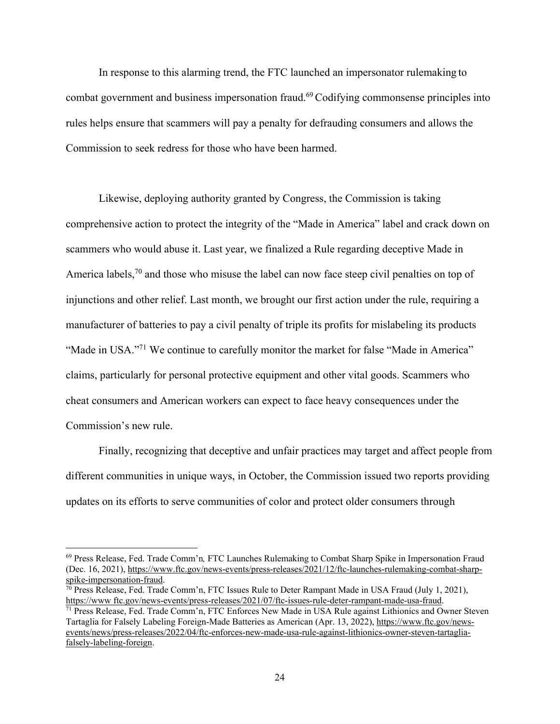In response to this alarming trend, the FTC launched an impersonator rulemaking to combat government and business impersonation fraud.69 Codifying commonsense principles into rules helps ensure that scammers will pay a penalty for defrauding consumers and allows the Commission to seek redress for those who have been harmed.

Likewise, deploying authority granted by Congress, the Commission is taking comprehensive action to protect the integrity of the "Made in America" label and crack down on scammers who would abuse it. Last year, we finalized a Rule regarding deceptive Made in America labels,<sup>70</sup> and those who misuse the label can now face steep civil penalties on top of injunctions and other relief. Last month, we brought our first action under the rule, requiring a manufacturer of batteries to pay a civil penalty of triple its profits for mislabeling its products "Made in USA."<sup>71</sup> We continue to carefully monitor the market for false "Made in America" claims, particularly for personal protective equipment and other vital goods. Scammers who cheat consumers and American workers can expect to face heavy consequences under the Commission's new rule.

Finally, recognizing that deceptive and unfair practices may target and affect people from different communities in unique ways, in October, the Commission issued two reports providing updates on its efforts to serve communities of color and protect older consumers through

<sup>69</sup> Press Release, Fed. Trade Comm'n*,* FTC Launches Rulemaking to Combat Sharp Spike in Impersonation Fraud (Dec. 16, 2021), https://www.ftc.gov/news-events/press-releases/2021/12/ftc-launches-rulemaking-combat-sharpspike-impersonation-fraud.

 $70$  Press Release, Fed. Trade Comm'n, FTC Issues Rule to Deter Rampant Made in USA Fraud (July 1, 2021), https://www ftc.gov/news-events/press-releases/2021/07/ftc-issues-rule-deter-rampant-made-usa-fraud.<br><sup>71</sup> Press Release, Fed. Trade Comm'n, FTC Enforces New Made in USA Rule against Lithionics and Owner Steven

Tartaglia for Falsely Labeling Foreign-Made Batteries as American (Apr. 13, 2022), https://www.ftc.gov/newsevents/news/press-releases/2022/04/ftc-enforces-new-made-usa-rule-against-lithionics-owner-steven-tartagliafalsely-labeling-foreign.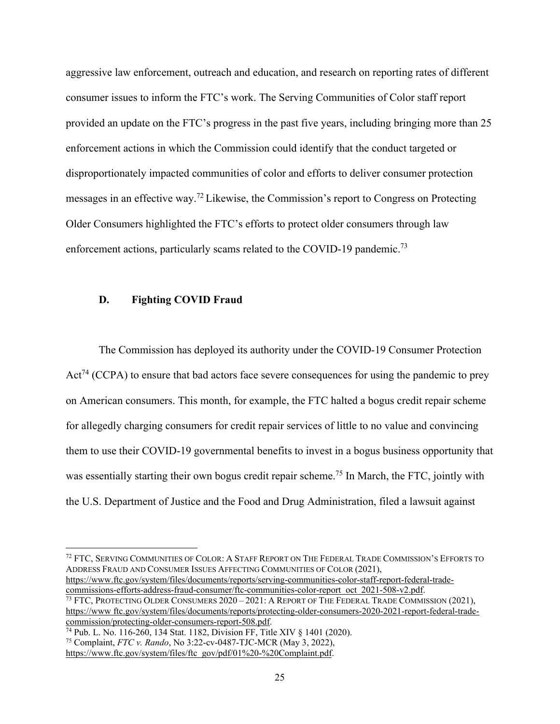aggressive law enforcement, outreach and education, and research on reporting rates of different consumer issues to inform the FTC's work. The Serving Communities of Color staff report provided an update on the FTC's progress in the past five years, including bringing more than 25 enforcement actions in which the Commission could identify that the conduct targeted or disproportionately impacted communities of color and efforts to deliver consumer protection messages in an effective way.72 Likewise, the Commission's report to Congress on Protecting Older Consumers highlighted the FTC's efforts to protect older consumers through law enforcement actions, particularly scams related to the COVID-19 pandemic.<sup>73</sup>

#### **D. Fighting COVID Fraud**

The Commission has deployed its authority under the COVID-19 Consumer Protection  $Act^{74} (CCPA)$  to ensure that bad actors face severe consequences for using the pandemic to prey on American consumers. This month, for example, the FTC halted a bogus credit repair scheme for allegedly charging consumers for credit repair services of little to no value and convincing them to use their COVID-19 governmental benefits to invest in a bogus business opportunity that was essentially starting their own bogus credit repair scheme.<sup>75</sup> In March, the FTC, jointly with the U.S. Department of Justice and the Food and Drug Administration, filed a lawsuit against

https://www.ftc.gov/system/files/documents/reports/serving-communities-color-staff-report-federal-trade-<br>commissions-efforts-address-fraud-consumer/ftc-communities-color-report oct 2021-508-v2.pdf. <sup>73</sup> FTC, PROTECTING OLDER CONSUMERS  $2020-2021$ : A REPORT OF THE FEDERAL TRADE COMMISSION (2021),

<sup>72</sup> FTC, SERVING COMMUNITIES OF COLOR: A STAFF REPORT ON THE FEDERAL TRADE COMMISSION'S EFFORTS TO ADDRESS FRAUD AND CONSUMER ISSUES AFFECTING COMMUNITIES OF COLOR (2021),

https://www ftc.gov/system/files/documents/reports/protecting-older-consumers-2020-2021-report-federal-tradecommission/protecting-older-consumers-report-508.pdf.

<sup>74</sup> Pub. L. No. 116-260, 134 Stat. 1182, Division FF, Title XIV § 1401 (2020).

<sup>75</sup> Complaint, *FTC v. Rando*, No 3:22-cv-0487-TJC-MCR (May 3, 2022),

https://www.ftc.gov/system/files/ftc gov/pdf/01%20-%20Complaint.pdf.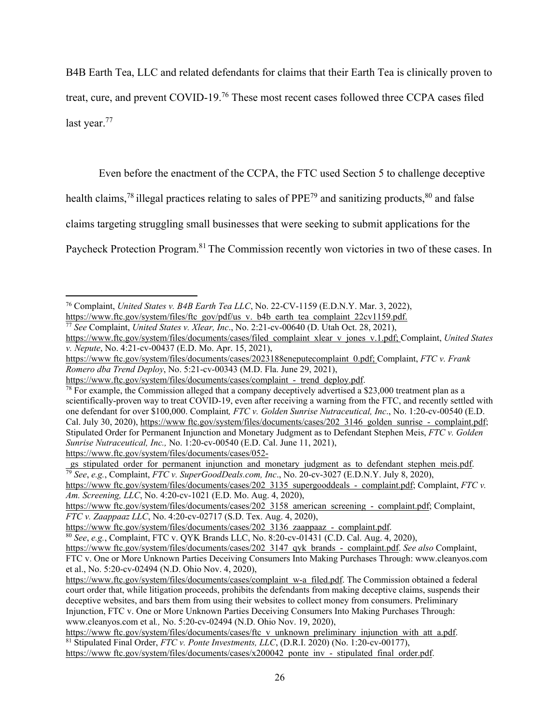B4B Earth Tea, LLC and related defendants for claims that their Earth Tea is clinically proven to treat, cure, and prevent COVID-19.76 These most recent cases followed three CCPA cases filed last year.<sup>77</sup>

Even before the enactment of the CCPA, the FTC used Section 5 to challenge deceptive

health claims,<sup>78</sup> illegal practices relating to sales of  $PPE^{79}$  and sanitizing products, $80$  and false

claims targeting struggling small businesses that were seeking to submit applications for the

Paycheck Protection Program.<sup>81</sup> The Commission recently won victories in two of these cases. In

<sup>77</sup> See Complaint, *United States v. Xlear, Inc.*, No. 2:21-cv-00640 (D. Utah Oct. 28, 2021),

<sup>&</sup>lt;sup>76</sup> Complaint, *United States v. B4B Earth Tea LLC*, No. 22-CV-1159 (E.D.N.Y. Mar. 3, 2022), https://www.ftc.gov/system/files/ftc\_gov/pdf/us\_v. b4b\_earth\_tea\_complaint\_22cv1159.pdf.

https://www.ftc.gov/system/files/documents/cases/filed complaint xlear v jones v.1.pdf; Complaint, *United States v. Nepute*, No. 4:21-cv-00437 (E.D. Mo. Apr. 15, 2021),

https://www ftc.gov/system/files/documents/cases/2023188eneputecomplaint 0.pdf; Complaint, *FTC v. Frank Romero dba Trend Deploy*, No. 5:21-cv-00343 (M.D. Fla. June 29, 2021),

https://www.ftc.gov/system/files/documents/cases/complaint - trend deploy.pdf.<br><sup>78</sup> For example, the Commission alleged that a company deceptively advertised a \$23,000 treatment plan as a scientifically-proven way to treat COVID-19, even after receiving a warning from the FTC, and recently settled with one defendant for over \$100,000. Complaint*, FTC v. Golden Sunrise Nutraceutical, Inc*., No. 1:20-cv-00540 (E.D. Cal. July 30, 2020), https://www ftc.gov/system/files/documents/cases/202 3146 golden sunrise - complaint.pdf; Stipulated Order for Permanent Injunction and Monetary Judgment as to Defendant Stephen Meis, *FTC v. Golden Sunrise Nutraceutical, Inc.,* No. 1:20-cv-00540 (E.D. Cal. June 11, 2021), https://www.ftc.gov/system/files/documents/cases/052-

gs stipulated order for permanent injunction and monetary judgment as to defendant stephen meis.pdf. <sup>79</sup> *See*, *e.g.*, Complaint, *FTC v. SuperGoodDeals.com, Inc*., No. 20-cv-3027 (E.D.N.Y. July 8, 2020),

https://www ftc.gov/system/files/documents/cases/202 3135 supergooddeals - complaint.pdf; Complaint, *FTC v. Am. Screening, LLC*, No. 4:20-cv-1021 (E.D. Mo. Aug. 4, 2020),

https://www ftc.gov/system/files/documents/cases/202 3158 american screening - complaint.pdf; Complaint, *FTC v. Zaappaaz LLC*, No. 4:20-cv-02717 (S.D. Tex. Aug. 4, 2020),

https://www ftc.gov/system/files/documents/cases/202 3136 zaappaaz - complaint.pdf. 80 *See*, *e.g.*, Complaint, FTC v. QYK Brands LLC, No. 8:20-cv-01431 (C.D. Cal. Aug. 4, 2020),

https://www ftc.gov/system/files/documents/cases/202 3147 qyk brands - complaint.pdf. *See also* Complaint, FTC v. One or More Unknown Parties Deceiving Consumers Into Making Purchases Through: www.cleanyos.com et al., No. 5:20-cv-02494 (N.D. Ohio Nov. 4, 2020),

https://www.ftc.gov/system/files/documents/cases/complaint w-a filed.pdf. The Commission obtained a federal court order that, while litigation proceeds, prohibits the defendants from making deceptive claims, suspends their deceptive websites, and bars them from using their websites to collect money from consumers. Preliminary Injunction, FTC v. One or More Unknown Parties Deceiving Consumers Into Making Purchases Through: www.cleanyos.com et al*.,* No. 5:20-cv-02494 (N.D. Ohio Nov. 19, 2020),

https://www ftc.gov/system/files/documents/cases/ftc v unknown preliminary injunction with att a.pdf. 81 Stipulated Final Order, *FTC v. Ponte Investments, LLC*, (D.R.I. 2020) (No. 1:20-cv-00177), https://www ftc.gov/system/files/documents/cases/x200042 ponte inv - stipulated final order.pdf.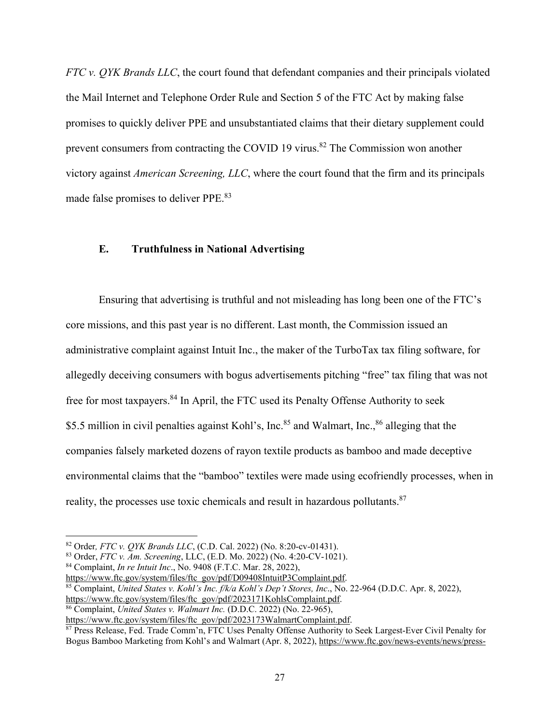*FTC v. QYK Brands LLC*, the court found that defendant companies and their principals violated the Mail Internet and Telephone Order Rule and Section 5 of the FTC Act by making false promises to quickly deliver PPE and unsubstantiated claims that their dietary supplement could prevent consumers from contracting the COVID 19 virus.<sup>82</sup> The Commission won another victory against *American Screening, LLC*, where the court found that the firm and its principals made false promises to deliver PPE.83

### **E. Truthfulness in National Advertising**

Ensuring that advertising is truthful and not misleading has long been one of the FTC's core missions, and this past year is no different. Last month, the Commission issued an administrative complaint against Intuit Inc., the maker of the TurboTax tax filing software, for allegedly deceiving consumers with bogus advertisements pitching "free" tax filing that was not free for most taxpayers.<sup>84</sup> In April, the FTC used its Penalty Offense Authority to seek \$5.5 million in civil penalties against Kohl's, Inc.<sup>85</sup> and Walmart, Inc.,<sup>86</sup> alleging that the companies falsely marketed dozens of rayon textile products as bamboo and made deceptive environmental claims that the "bamboo" textiles were made using ecofriendly processes, when in reality, the processes use toxic chemicals and result in hazardous pollutants.<sup>87</sup>

<sup>&</sup>lt;sup>82</sup> Order, *FTC v. QYK Brands LLC*, (C.D. Cal. 2022) (No. 8:20-cv-01431).<br><sup>83</sup> Order, *FTC v. Am. Screening*, LLC, (E.D. Mo. 2022) (No. 4:20-CV-1021).<br><sup>84</sup> Complaint, *In re Intuit Inc.*, No. 9408 (F.T.C. Mar. 28, 2022),

<sup>&</sup>lt;sup>85</sup> Complaint, *United States v. Kohl's Inc. f/k/a Kohl's Dep't Stores, Inc.*, No. 22-964 (D.D.C. Apr. 8, 2022), https://www.ftc.gov/system/files/ftc\_gov/pdf/2023171KohlsComplaint.pdf.

<sup>&</sup>lt;sup>86</sup> Complaint, *United States v. Walmart Inc.* (D.D.C. 2022) (No. 22-965),

https://www.ftc.gov/system/files/ftc gov/pdf/2023173WalmartComplaint.pdf.<br><sup>87</sup> Press Release, Fed. Trade Comm'n, FTC Uses Penalty Offense Authority to Seek Largest-Ever Civil Penalty for Bogus Bamboo Marketing from Kohl's and Walmart (Apr. 8, 2022), https://www.ftc.gov/news-events/news/press-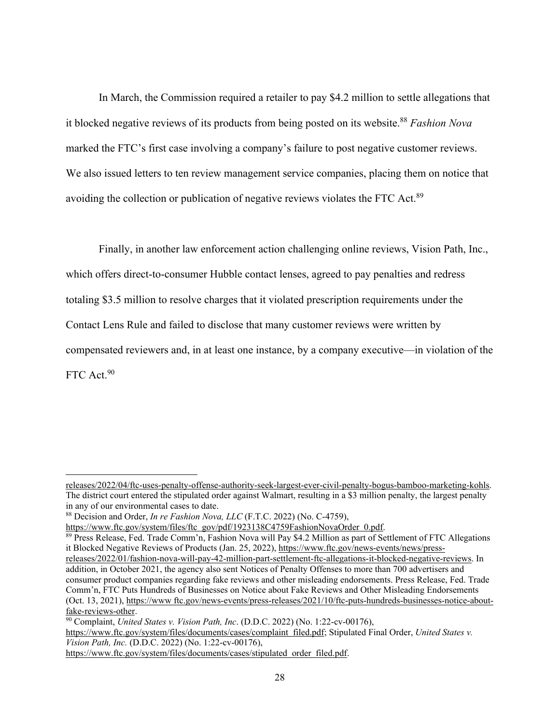In March, the Commission required a retailer to pay \$4.2 million to settle allegations that it blocked negative reviews of its products from being posted on its website.<sup>88</sup> *Fashion Nova* marked the FTC's first case involving a company's failure to post negative customer reviews. We also issued letters to ten review management service companies, placing them on notice that avoiding the collection or publication of negative reviews violates the FTC Act.89

Finally, in another law enforcement action challenging online reviews, Vision Path, Inc., which offers direct-to-consumer Hubble contact lenses, agreed to pay penalties and redress totaling \$3.5 million to resolve charges that it violated prescription requirements under the Contact Lens Rule and failed to disclose that many customer reviews were written by compensated reviewers and, in at least one instance, by a company executive—in violation of the FTC Act.<sup>90</sup>

https://www.ftc.gov/system/files/documents/cases/complaint filed.pdf; Stipulated Final Order, *United States v. Vision Path, Inc.* (D.D.C. 2022) (No. 1:22-cv-00176),

releases/2022/04/ftc-uses-penalty-offense-authority-seek-largest-ever-civil-penalty-bogus-bamboo-marketing-kohls. The district court entered the stipulated order against Walmart, resulting in a \$3 million penalty, the largest penalty in any of our environmental cases to date.

<sup>88</sup> Decision and Order, *In re Fashion Nova, LLC* (F.T.C. 2022) (No. C-4759),

https://www.ftc.gov/system/files/ftc gov/pdf/1923138C4759FashionNovaOrder 0.pdf.<br><sup>89</sup> Press Release, Fed. Trade Comm'n, Fashion Nova will Pay \$4.2 Million as part of Settlement of FTC Allegations it Blocked Negative Reviews of Products (Jan. 25, 2022), https://www.ftc.gov/news-events/news/press-

releases/2022/01/fashion-nova-will-pay-42-million-part-settlement-ftc-allegations-it-blocked-negative-reviews. In addition, in October 2021, the agency also sent Notices of Penalty Offenses to more than 700 advertisers and consumer product companies regarding fake reviews and other misleading endorsements. Press Release, Fed. Trade Comm'n, FTC Puts Hundreds of Businesses on Notice about Fake Reviews and Other Misleading Endorsements (Oct. 13, 2021), https://www ftc.gov/news-events/press-releases/2021/10/ftc-puts-hundreds-businesses-notice-aboutfake-reviews-other.

<sup>90</sup> Complaint, *United States v. Vision Path, Inc*. (D.D.C. 2022) (No. 1:22-cv-00176),

https://www.ftc.gov/system/files/documents/cases/stipulated order filed.pdf.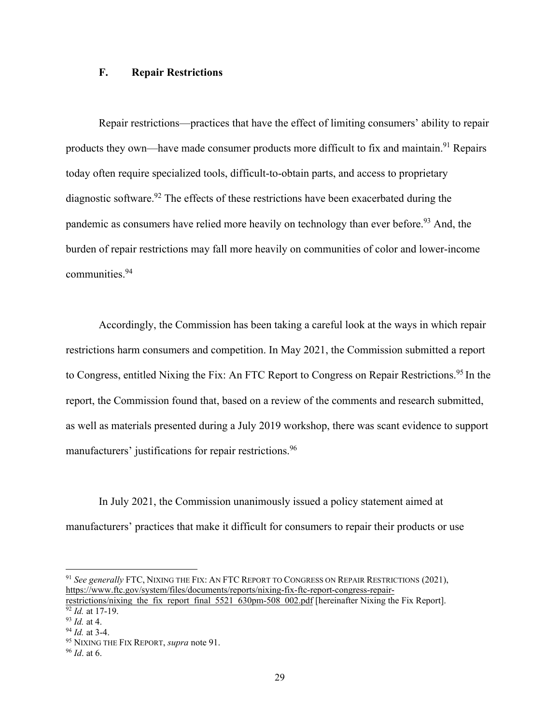## **F. Repair Restrictions**

Repair restrictions—practices that have the effect of limiting consumers' ability to repair products they own—have made consumer products more difficult to fix and maintain.<sup>91</sup> Repairs today often require specialized tools, difficult-to-obtain parts, and access to proprietary diagnostic software.<sup>92</sup> The effects of these restrictions have been exacerbated during the pandemic as consumers have relied more heavily on technology than ever before.<sup>93</sup> And, the burden of repair restrictions may fall more heavily on communities of color and lower-income communities.94

Accordingly, the Commission has been taking a careful look at the ways in which repair restrictions harm consumers and competition. In May 2021, the Commission submitted a report to Congress, entitled Nixing the Fix: An FTC Report to Congress on Repair Restrictions.<sup>95</sup> In the report, the Commission found that, based on a review of the comments and research submitted, as well as materials presented during a July 2019 workshop, there was scant evidence to support manufacturers' justifications for repair restrictions.<sup>96</sup>

In July 2021, the Commission unanimously issued a policy statement aimed at manufacturers' practices that make it difficult for consumers to repair their products or use

<sup>91</sup> *See generally* FTC, NIXING THE FIX: AN FTC REPORT TO CONGRESS ON REPAIR RESTRICTIONS (2021), https://www.ftc.gov/system/files/documents/reports/nixing-fix-ftc-report-congress-repair-

restrictions/nixing the fix report final 5521 630pm-508 002.pdf [hereinafter Nixing the Fix Report]. <sup>92</sup> *Id.* at 17-19.<br><sup>93</sup> *Id.* at 4.

<sup>&</sup>lt;sup>94</sup> *Id.* at 3-4.<br><sup>95</sup> NIXING THE FIX REPORT, *supra* note 91.<br><sup>96</sup> *Id.* at 6.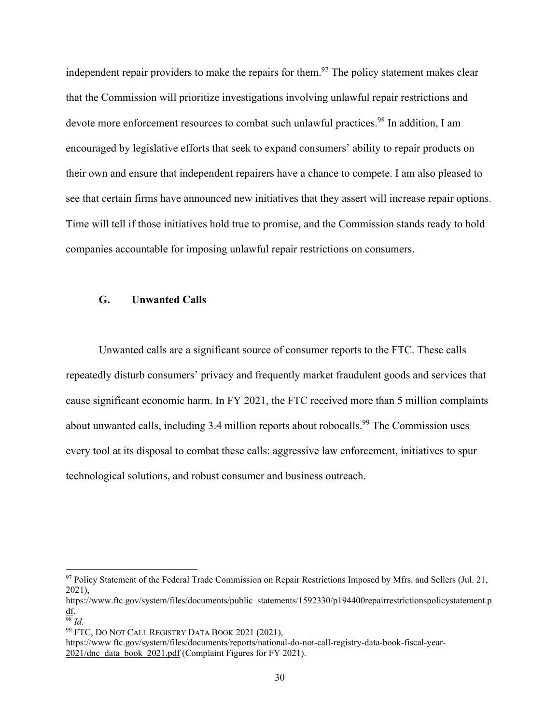independent repair providers to make the repairs for them.<sup>97</sup> The policy statement makes clear that the Commission will prioritize investigations involving unlawful repair restrictions and devote more enforcement resources to combat such unlawful practices.<sup>98</sup> In addition, I am encouraged by legislative efforts that seek to expand consumers' ability to repair products on their own and ensure that independent repairers have a chance to compete. I am also pleased to see that certain firms have announced new initiatives that they assert will increase repair options. Time will tell if those initiatives hold true to promise, and the Commission stands ready to hold companies accountable for imposing unlawful repair restrictions on consumers.

#### **G. Unwanted Calls**

Unwanted calls are a significant source of consumer reports to the FTC. These calls repeatedly disturb consumers' privacy and frequently market fraudulent goods and services that cause significant economic harm. In FY 2021, the FTC received more than 5 million complaints about unwanted calls, including 3.4 million reports about robocalls.<sup>99</sup> The Commission uses every tool at its disposal to combat these calls: aggressive law enforcement, initiatives to spur technological solutions, and robust consumer and business outreach.

<sup>&</sup>lt;sup>97</sup> Policy Statement of the Federal Trade Commission on Repair Restrictions Imposed by Mfrs. and Sellers (Jul. 21, 2021),

https://www.ftc.gov/system/files/documents/public statements/1592330/p194400repairrestrictionspolicystatement.p df.

<sup>98</sup> *Id.*

<sup>99</sup> FTC, DO NOT CALL REGISTRY DATA BOOK 2021 (2021),

https://www ftc.gov/system/files/documents/reports/national-do-not-call-registry-data-book-fiscal-year-2021/dnc data book 2021.pdf (Complaint Figures for FY 2021).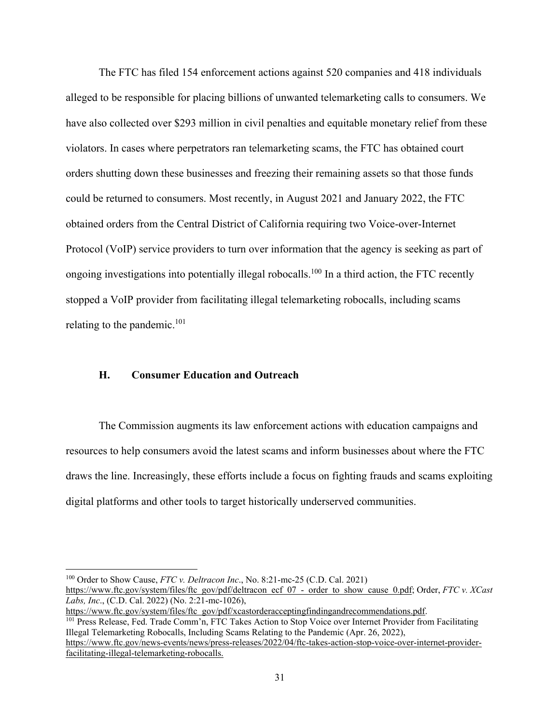The FTC has filed 154 enforcement actions against 520 companies and 418 individuals alleged to be responsible for placing billions of unwanted telemarketing calls to consumers. We have also collected over \$293 million in civil penalties and equitable monetary relief from these violators. In cases where perpetrators ran telemarketing scams, the FTC has obtained court orders shutting down these businesses and freezing their remaining assets so that those funds could be returned to consumers. Most recently, in August 2021 and January 2022, the FTC obtained orders from the Central District of California requiring two Voice-over-Internet Protocol (VoIP) service providers to turn over information that the agency is seeking as part of ongoing investigations into potentially illegal robocalls.<sup>100</sup> In a third action, the FTC recently stopped a VoIP provider from facilitating illegal telemarketing robocalls, including scams relating to the pandemic. $101$ 

### **H. Consumer Education and Outreach**

The Commission augments its law enforcement actions with education campaigns and resources to help consumers avoid the latest scams and inform businesses about where the FTC draws the line. Increasingly, these efforts include a focus on fighting frauds and scams exploiting digital platforms and other tools to target historically underserved communities.

https://www.ftc.gov/system/files/ftc gov/pdf/xcastorderacceptingfindingandrecommendations.pdf.<br><sup>101</sup> Press Release, Fed. Trade Comm'n, FTC Takes Action to Stop Voice over Internet Provider from Facilitating

<sup>100</sup> Order to Show Cause, *FTC v. Deltracon Inc*., No. 8:21-mc-25 (C.D. Cal. 2021)

https://www.ftc.gov/system/files/ftc gov/pdf/deltracon ecf 07 - order to show cause 0.pdf; Order, *FTC v. XCast Labs, Inc*., (C.D. Cal. 2022) (No. 2:21-mc-1026),

Illegal Telemarketing Robocalls, Including Scams Relating to the Pandemic (Apr. 26, 2022), https://www.ftc.gov/news-events/news/press-releases/2022/04/ftc-takes-action-stop-voice-over-internet-provider-

facilitating-illegal-telemarketing-robocalls.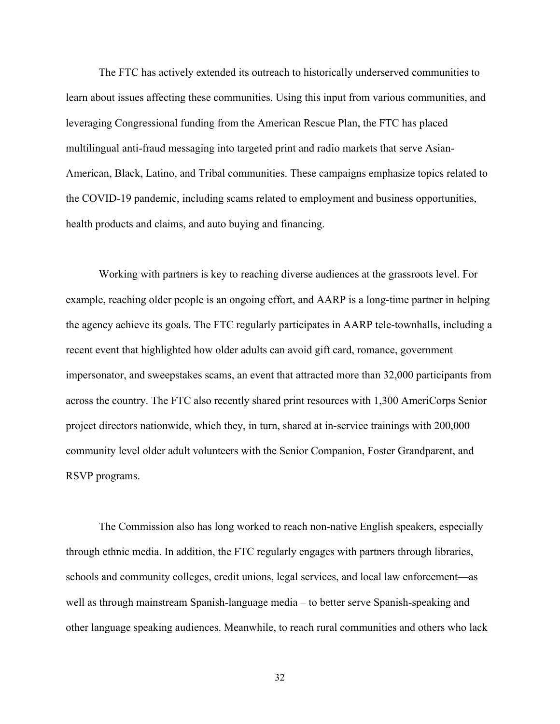The FTC has actively extended its outreach to historically underserved communities to learn about issues affecting these communities. Using this input from various communities, and leveraging Congressional funding from the American Rescue Plan, the FTC has placed multilingual anti-fraud messaging into targeted print and radio markets that serve Asian-American, Black, Latino, and Tribal communities. These campaigns emphasize topics related to the COVID-19 pandemic, including scams related to employment and business opportunities, health products and claims, and auto buying and financing.

Working with partners is key to reaching diverse audiences at the grassroots level. For example, reaching older people is an ongoing effort, and AARP is a long-time partner in helping the agency achieve its goals. The FTC regularly participates in AARP tele-townhalls, including a recent event that highlighted how older adults can avoid gift card, romance, government impersonator, and sweepstakes scams, an event that attracted more than 32,000 participants from across the country. The FTC also recently shared print resources with 1,300 AmeriCorps Senior project directors nationwide, which they, in turn, shared at in-service trainings with 200,000 community level older adult volunteers with the Senior Companion, Foster Grandparent, and RSVP programs.

The Commission also has long worked to reach non-native English speakers, especially through ethnic media. In addition, the FTC regularly engages with partners through libraries, schools and community colleges, credit unions, legal services, and local law enforcement—as well as through mainstream Spanish-language media – to better serve Spanish-speaking and other language speaking audiences. Meanwhile, to reach rural communities and others who lack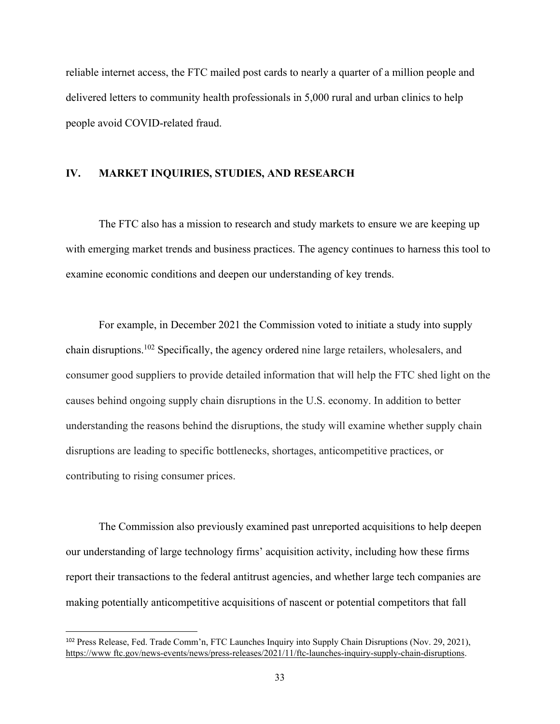reliable internet access, the FTC mailed post cards to nearly a quarter of a million people and delivered letters to community health professionals in 5,000 rural and urban clinics to help people avoid COVID-related fraud.

# **IV. MARKET INQUIRIES, STUDIES, AND RESEARCH**

The FTC also has a mission to research and study markets to ensure we are keeping up with emerging market trends and business practices. The agency continues to harness this tool to examine economic conditions and deepen our understanding of key trends.

For example, in December 2021 the Commission voted to initiate a study into supply chain disruptions.102 Specifically, the agency ordered nine large retailers, wholesalers, and consumer good suppliers to provide detailed information that will help the FTC shed light on the causes behind ongoing supply chain disruptions in the U.S. economy. In addition to better understanding the reasons behind the disruptions, the study will examine whether supply chain disruptions are leading to specific bottlenecks, shortages, anticompetitive practices, or contributing to rising consumer prices.

The Commission also previously examined past unreported acquisitions to help deepen our understanding of large technology firms' acquisition activity, including how these firms report their transactions to the federal antitrust agencies, and whether large tech companies are making potentially anticompetitive acquisitions of nascent or potential competitors that fall

<sup>102</sup> Press Release, Fed. Trade Comm'n, FTC Launches Inquiry into Supply Chain Disruptions (Nov. 29, 2021), https://www ftc.gov/news-events/news/press-releases/2021/11/ftc-launches-inquiry-supply-chain-disruptions.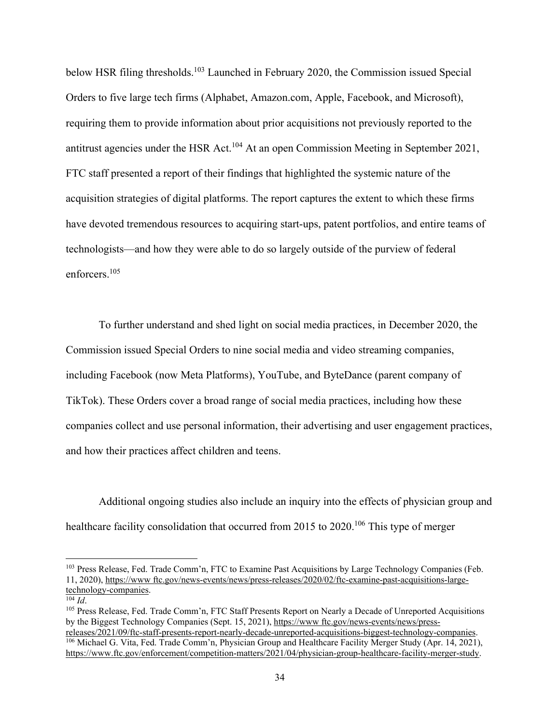below HSR filing thresholds.<sup>103</sup> Launched in February 2020, the Commission issued Special Orders to five large tech firms (Alphabet, Amazon.com, Apple, Facebook, and Microsoft), requiring them to provide information about prior acquisitions not previously reported to the antitrust agencies under the HSR Act.<sup>104</sup> At an open Commission Meeting in September 2021, FTC staff presented a report of their findings that highlighted the systemic nature of the acquisition strategies of digital platforms. The report captures the extent to which these firms have devoted tremendous resources to acquiring start-ups, patent portfolios, and entire teams of technologists—and how they were able to do so largely outside of the purview of federal enforcers.105

To further understand and shed light on social media practices, in December 2020, the Commission issued Special Orders to nine social media and video streaming companies, including Facebook (now Meta Platforms), YouTube, and ByteDance (parent company of TikTok). These Orders cover a broad range of social media practices, including how these companies collect and use personal information, their advertising and user engagement practices, and how their practices affect children and teens.

Additional ongoing studies also include an inquiry into the effects of physician group and healthcare facility consolidation that occurred from 2015 to 2020.<sup>106</sup> This type of merger

<sup>&</sup>lt;sup>103</sup> Press Release, Fed. Trade Comm'n, FTC to Examine Past Acquisitions by Large Technology Companies (Feb. 11, 2020), https://www ftc.gov/news-events/news/press-releases/2020/02/ftc-examine-past-acquisitions-largetechnology-companies.<br> $\frac{104}{104}$ 

<sup>&</sup>lt;sup>105</sup> Press Release, Fed. Trade Comm'n, FTC Staff Presents Report on Nearly a Decade of Unreported Acquisitions by the Biggest Technology Companies (Sept. 15, 2021), https://www ftc.gov/news-events/news/pressreleases/2021/09/ftc-staff-presents-report-nearly-decade-unreported-acquisitions-biggest-technology-companies.

<sup>106</sup> Michael G. Vita, Fed. Trade Comm'n, Physician Group and Healthcare Facility Merger Study (Apr. 14, 2021), https://www.ftc.gov/enforcement/competition-matters/2021/04/physician-group-healthcare-facility-merger-study.